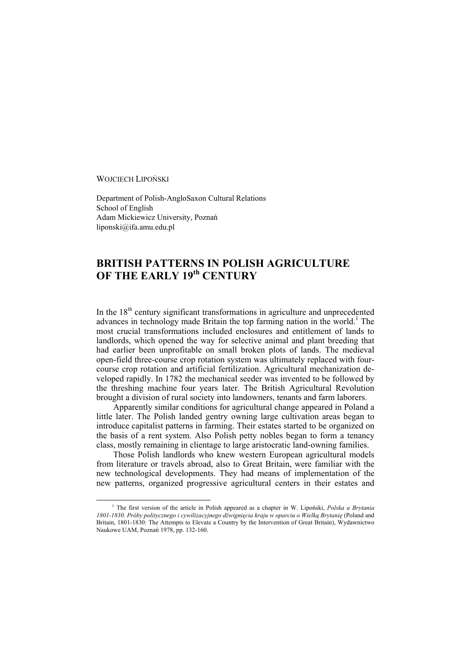WOJCIECH LIPOŃSKI

Department of Polish-AngloSaxon Cultural Relations School of English Adam Mickiewicz University, Poznań liponski@ifa.amu.edu.pl

## **BRITISH PATTERNS IN POLISH AGRICULTURE OF THE EARLY 19th CENTURY**

In the  $18<sup>th</sup>$  century significant transformations in agriculture and unprecedented advances in technology made Britain the top farming nation in the world.<sup>1</sup> The most crucial transformations included enclosures and entitlement of lands to landlords, which opened the way for selective animal and plant breeding that had earlier been unprofitable on small broken plots of lands. The medieval open-field three-course crop rotation system was ultimately replaced with fourcourse crop rotation and artificial fertilization. Agricultural mechanization developed rapidly. In 1782 the mechanical seeder was invented to be followed by the threshing machine four years later. The British Agricultural Revolution brought a division of rural society into landowners, tenants and farm laborers.

Apparently similar conditions for agricultural change appeared in Poland a little later. The Polish landed gentry owning large cultivation areas began to introduce capitalist patterns in farming. Their estates started to be organized on the basis of a rent system. Also Polish petty nobles began to form a tenancy class, mostly remaining in clientage to large aristocratic land-owning families.

Those Polish landlords who knew western European agricultural models from literature or travels abroad, also to Great Britain, were familiar with the new technological developments. They had means of implementation of the new patterns, organized progressive agricultural centers in their estates and

 $\frac{1}{1}$ <sup>1</sup> The first version of the article in Polish appeared as a chapter in W. Lipoński, *Polska a Brytania 1801-1830. Próby politycznego i cywilizacyjnego dźwignięcia kraju w oparciu o Wielką Brytanię* (Poland and Britain, 1801-1830: The Attempts to Elevate a Country by the Intervention of Great Britain), Wydawnictwo Naukowe UAM, Poznań 1978, pp. 132-160.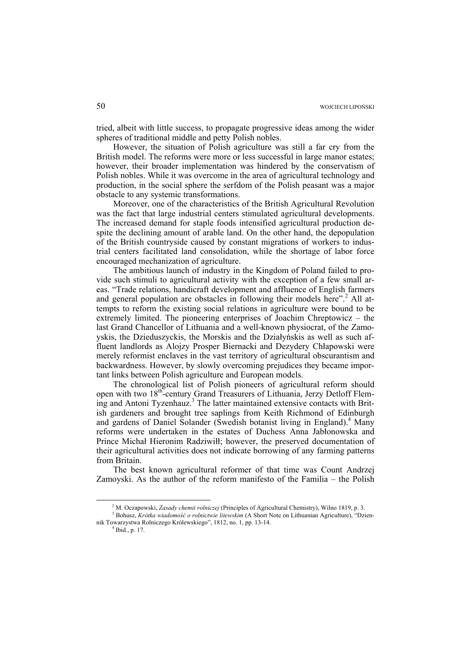tried, albeit with little success, to propagate progressive ideas among the wider spheres of traditional middle and petty Polish nobles.

However, the situation of Polish agriculture was still a far cry from the British model. The reforms were more or less successful in large manor estates; however, their broader implementation was hindered by the conservatism of Polish nobles. While it was overcome in the area of agricultural technology and production, in the social sphere the serfdom of the Polish peasant was a major obstacle to any systemic transformations.

Moreover, one of the characteristics of the British Agricultural Revolution was the fact that large industrial centers stimulated agricultural developments. The increased demand for staple foods intensified agricultural production despite the declining amount of arable land. On the other hand, the depopulation of the British countryside caused by constant migrations of workers to industrial centers facilitated land consolidation, while the shortage of labor force encouraged mechanization of agriculture.

The ambitious launch of industry in the Kingdom of Poland failed to provide such stimuli to agricultural activity with the exception of a few small areas. "Trade relations, handicraft development and affluence of English farmers and general population are obstacles in following their models here".<sup>2</sup> All attempts to reform the existing social relations in agriculture were bound to be extremely limited. The pioneering enterprises of Joachim Chreptowicz – the last Grand Chancellor of Lithuania and a well-known physiocrat, of the Zamoyskis, the Dzieduszyckis, the Morskis and the Działyńskis as well as such affluent landlords as Alojzy Prosper Biernacki and Dezydery Chłapowski were merely reformist enclaves in the vast territory of agricultural obscurantism and backwardness. However, by slowly overcoming prejudices they became important links between Polish agriculture and European models.

The chronological list of Polish pioneers of agricultural reform should open with two 18<sup>th</sup>-century Grand Treasurers of Lithuania, Jerzy Detloff Fleming and Antoni Tyzenhauz.<sup>3</sup> The latter maintained extensive contacts with British gardeners and brought tree saplings from Keith Richmond of Edinburgh and gardens of Daniel Solander (Swedish botanist living in England).<sup>4</sup> Many reforms were undertaken in the estates of Duchess Anna Jabłonowska and Prince Michał Hieronim Radziwiłł; however, the preserved documentation of their agricultural activities does not indicate borrowing of any farming patterns from Britain.

The best known agricultural reformer of that time was Count Andrzej Zamoyski. As the author of the reform manifesto of the Familia – the Polish

 $\frac{1}{2}$ <sup>2</sup> M. Oczapowski, *Zasady chemii rolniczej* (Principles of Agricultural Chemistry), Wilno 1819, p. 3.

Bohusz, *Krótka wiadomość o rolnictwie litewskim* (A Short Note on Lithuanian Agriculture), "Dziennik Towarzystwa Rolniczego Królewskiego", 1812, no. 1, pp. 13-14. 4

 $4$  Ibid., p. 17.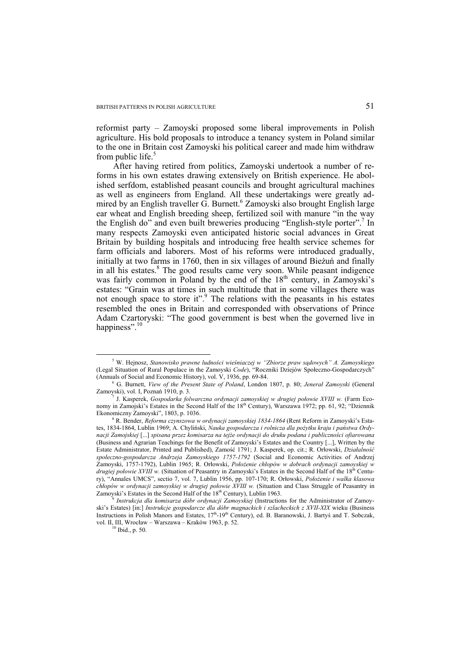reformist party – Zamoyski proposed some liberal improvements in Polish agriculture. His bold proposals to introduce a tenancy system in Poland similar to the one in Britain cost Zamoyski his political career and made him withdraw from public life.<sup>5</sup>

After having retired from politics, Zamoyski undertook a number of reforms in his own estates drawing extensively on British experience. He abolished serfdom, established peasant councils and brought agricultural machines as well as engineers from England. All these undertakings were greatly admired by an English traveller G. Burnett.<sup>6</sup> Zamoyski also brought English large ear wheat and English breeding sheep, fertilized soil with manure "in the way the English do" and even built breweries producing "English-style porter".<sup>7</sup> In many respects Zamoyski even anticipated historic social advances in Great Britain by building hospitals and introducing free health service schemes for farm officials and laborers. Most of his reforms were introduced gradually, initially at two farms in 1760, then in six villages of around Bieżuń and finally in all his estates.<sup>8</sup> The good results came very soon. While peasant indigence was fairly common in Poland by the end of the  $18<sup>th</sup>$  century, in Zamoyski's estates: "Grain was at times in such multitude that in some villages there was not enough space to store it".<sup>9</sup> The relations with the peasants in his estates resembled the ones in Britain and corresponded with observations of Prince Adam Czartoryski: "The good government is best when the governed live in happiness".<sup>10</sup>

 $\frac{1}{5}$  W. Hejnosz, *Stanowisko prawne ludności wieśniaczej w "Zbiorze praw sądowych" A. Zamoyskiego*  (Legal Situation of Rural Populace in the Zamoyski *Code*), "Roczniki Dziejów Społeczno-Gospodarczych" (Annuals of Social and Economic History), vol. V, 1936, pp. 69-84. 6

G. Burnett, *View of the Present State of Poland*, London 1807, p. 80; *Jenerał Zamoyski* (General Zamoyski), vol. I, Poznań 1910, p. 3.

J. Kasperek, *Gospodarka folwarczna ordynacji zamoyskiej w drugiej połowie XVIII w.* (Farm Economy in Zamojski's Estates in the Second Half of the 18<sup>th</sup> Century), Warszawa 1972; pp. 61, 92; "Dziennik Ekonomiczny Zamoyski", 1803, p. 1036. 8

R. Bender, *Reforma czynszowa w ordynacji zamoyskiej 1834-1864* (Rent Reform in Zamoyski's Estates, 1834-1864, Lublin 1969; A. Chyliński, *Nauka gospodarcza i rolnicza dla pożytku kraju i państwa Ordynacji Zamojskiej* [...] *spisana przez komisarza na tejże ordynacji do druku podana i publiczności ofiarowana* (Business and Agrarian Teachings for the Benefit of Zamoyski's Estates and the Country [...], Written by the Estate Administrator, Printed and Published), Zamość 1791; J. Kasperek, op. cit.; R. Orłowski, *Działalność społeczno-gospodarcza Andrzeja Zamoyskiego 1757-1792* (Social and Economic Activities of Andrzej Zamoyski, 1757-1792), Lublin 1965; R. Orłowski, *Położenie chłopów w dobrach ordynacji zamoyskiej w drugiej połowie XVIII w.* (Situation of Peasantry in Zamoyski's Estates in the Second Half of the 18<sup>th</sup> Century), "Annales UMCS", sectio 7, vol. 7, Lublin 1956, pp. 107-170; R. Orłowski, *Położenie i walka klasowa chłopów w ordynacji zamoyskiej w drugiej połowie XVIII w. (Situation and Class Struggle of Peasantry in Zamoyski's Estates in the Second Half of the 18<sup>th</sup> Century), Lublin 1963.* 

Instrukcja dla komisarza dóbr ordynacji Zamoyskiej (Instructions for the Administrator of Zamoyski's Estates) [in:] *Instrukcje gospodarcze dla dóbr magnackich i szlacheckich z XVII-XIX* wieku (Business Instructions in Polish Manors and Estates, 17<sup>th</sup>-19<sup>th</sup> Century), ed. B. Baranowski, J. Bartyś and T. Sobczak, vol. II, III, Wrocław – Warszawa – Kraków 1963, p. 52. 10 Ibid., p. 50.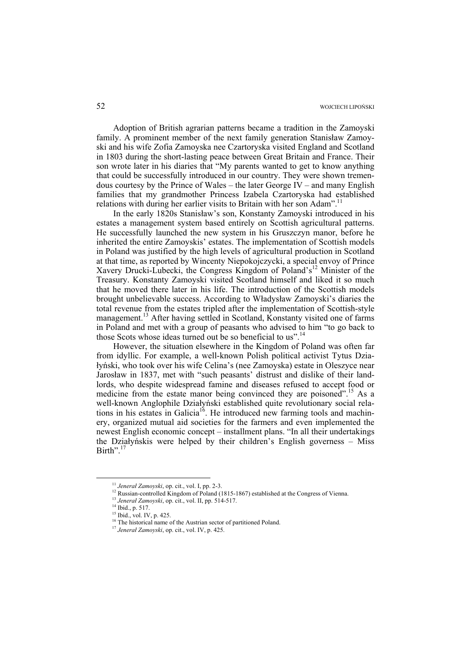Adoption of British agrarian patterns became a tradition in the Zamoyski family. A prominent member of the next family generation Stanisław Zamoyski and his wife Zofia Zamoyska nee Czartoryska visited England and Scotland in 1803 during the short-lasting peace between Great Britain and France. Their son wrote later in his diaries that "My parents wanted to get to know anything that could be successfully introduced in our country. They were shown tremendous courtesy by the Prince of Wales – the later George IV – and many English families that my grandmother Princess Izabela Czartoryska had established relations with during her earlier visits to Britain with her son Adam".<sup>11</sup>

In the early 1820s Stanisław's son, Konstanty Zamoyski introduced in his estates a management system based entirely on Scottish agricultural patterns. He successfully launched the new system in his Gruszczyn manor, before he inherited the entire Zamoyskis' estates. The implementation of Scottish models in Poland was justified by the high levels of agricultural production in Scotland at that time, as reported by Wincenty Niepokojczycki, a special envoy of Prince Xavery Drucki-Lubecki, the Congress Kingdom of Poland's<sup>12</sup> Minister of the Treasury. Konstanty Zamoyski visited Scotland himself and liked it so much that he moved there later in his life. The introduction of the Scottish models brought unbelievable success. According to Władysław Zamoyski's diaries the total revenue from the estates tripled after the implementation of Scottish-style management.<sup>13</sup> After having settled in Scotland, Konstanty visited one of farms in Poland and met with a group of peasants who advised to him "to go back to those Scots whose ideas turned out be so beneficial to us".<sup>14</sup>

However, the situation elsewhere in the Kingdom of Poland was often far from idyllic. For example, a well-known Polish political activist Tytus Działyński, who took over his wife Celina's (nee Zamoyska) estate in Oleszyce near Jarosław in 1837, met with "such peasants' distrust and dislike of their landlords, who despite widespread famine and diseases refused to accept food or medicine from the estate manor being convinced they are poisoned".<sup>15</sup> As a well-known Anglophile Działyński established quite revolutionary social relations in his estates in Galicia<sup>16</sup>. He introduced new farming tools and machinery, organized mutual aid societies for the farmers and even implemented the newest English economic concept – installment plans. "In all their undertakings the Działyńskis were helped by their children's English governess – Miss Birth". $1$ 

<sup>&</sup>lt;sup>11</sup> Jeneral Zamoyski, op. cit., vol. I, pp. 2-3.<br><sup>12</sup> Russian-controlled Kingdom of Poland (1815-1867) established at the Congress of Vienna.<br><sup>13</sup> Jeneral Zamoyski, op. cit., vol. II, pp. 514-517.<br><sup>14</sup> Ibid., p. 517.

<sup>&</sup>lt;sup>15</sup> Ibid., vol. IV, p. 425.

<sup>16</sup> The historical name of the Austrian sector of partitioned Poland. 17 *Jenerał Zamoyski*, op. cit., vol. IV, p. 425.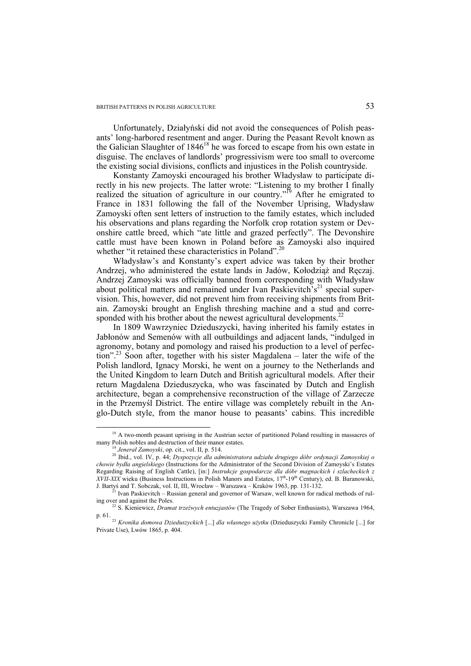Unfortunately, Działyński did not avoid the consequences of Polish peasants' long-harbored resentment and anger. During the Peasant Revolt known as the Galician Slaughter of 1846<sup>18</sup> he was forced to escape from his own estate in disguise. The enclaves of landlords' progressivism were too small to overcome the existing social divisions, conflicts and injustices in the Polish countryside.

Konstanty Zamoyski encouraged his brother Władysław to participate directly in his new projects. The latter wrote: "Listening to my brother I finally realized the situation of agriculture in our country."<sup>19</sup> After he emigrated to France in 1831 following the fall of the November Uprising, Władysław Zamoyski often sent letters of instruction to the family estates, which included his observations and plans regarding the Norfolk crop rotation system or Devonshire cattle breed, which "ate little and grazed perfectly". The Devonshire cattle must have been known in Poland before as Zamoyski also inquired whether "it retained these characteristics in Poland".<sup>20</sup>

Władysław's and Konstanty's expert advice was taken by their brother Andrzej, who administered the estate lands in Jadów, Kołodziąż and Ręczaj. Andrzej Zamoyski was officially banned from corresponding with Władysław about political matters and remained under Ivan Paskievitch's<sup>21</sup> special supervision. This, however, did not prevent him from receiving shipments from Britain. Zamoyski brought an English threshing machine and a stud and corresponded with his brother about the newest agricultural developments.<sup>22</sup>

In 1809 Wawrzyniec Dzieduszycki, having inherited his family estates in Jabłonów and Semenów with all outbuildings and adjacent lands, "indulged in agronomy, botany and pomology and raised his production to a level of perfection".23 Soon after, together with his sister Magdalena – later the wife of the Polish landlord, Ignacy Morski, he went on a journey to the Netherlands and the United Kingdom to learn Dutch and British agricultural models. After their return Magdalena Dzieduszycka, who was fascinated by Dutch and English architecture, began a comprehensive reconstruction of the village of Zarzecze in the Przemyśl District. The entire village was completely rebuilt in the Anglo-Dutch style, from the manor house to peasants' cabins. This incredible

<sup>&</sup>lt;sup>18</sup> A two-month peasant uprising in the Austrian sector of partitioned Poland resulting in massacres of many Polish nobles and destruction of their manor estates.

<sup>&</sup>lt;sup>19</sup> Jenerał Zamoyski, op. cit., vol. II, p. 514.<br><sup>20</sup> Ibid., vol. IV, p. 44; *Dyspozycje dla administratora udziału drugiego dóbr ordynacji Zamoyskiej o chowie bydła angielskiego* (Instructions for the Administrator of the Second Division of Zamoyski's Estates Regarding Raising of English Cattle), [in:] *Instrukcje gospodarcze dla dóbr magnackich i szlacheckich z XVII-XIX* wieku (Business Instructions in Polish Manors and Estates, 17<sup>th</sup>-19<sup>th</sup> Century), ed. B. Baranowski, J. Bartyś and T. Sobczak, vol. II, III, Wrocław – Warszawa – Kraków 1963, pp. 131-132. 21 Ivan Paskievitch – Russian general and governor of Warsaw, well known for radical methods of rul-

ing over and against the Poles. 22 S. Kieniewicz, *Dramat trzeźwych entuzjastów* (The Tragedy of Sober Enthusiasts), Warszawa 1964,

p. 61. 23 *Kronika domowa Dzieduszyckich* [...] *dla własnego użytku* (Dzieduszycki Family Chronicle [...] for Private Use), Lwów 1865, p. 404.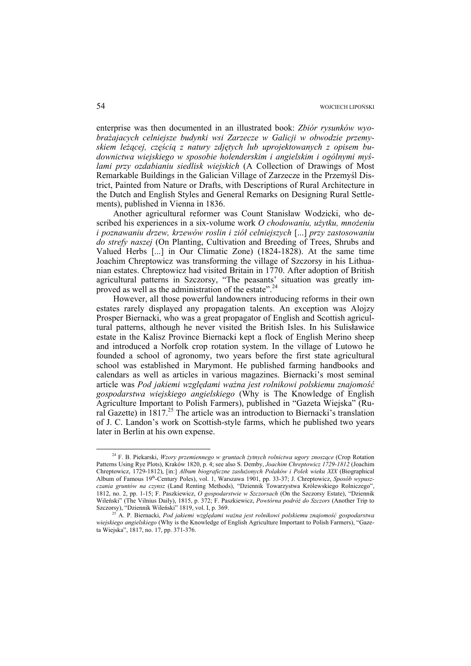enterprise was then documented in an illustrated book: *Zbiór rysunków wyobrażajacych celniejsze budynki wsi Zarzecze w Galicji w obwodzie przemyskiem leżącej, częścią z natury zdjętych lub uprojektowanych z opisem budownictwa wiejskiego w sposobie holenderskim i angielskim i ogólnymi myślami przy ozdabianiu siedlisk wiejskich* (A Collection of Drawings of Most Remarkable Buildings in the Galician Village of Zarzecze in the Przemyśl District, Painted from Nature or Drafts, with Descriptions of Rural Architecture in the Dutch and English Styles and General Remarks on Designing Rural Settlements), published in Vienna in 1836.

Another agricultural reformer was Count Stanisław Wodzicki, who described his experiences in a six-volume work *O chodowaniu, użytku, mnożeniu i poznawaniu drzew, krzewów roslin i ziół celniejszych* [...] *przy zastosowaniu do strefy naszej* (On Planting, Cultivation and Breeding of Trees, Shrubs and Valued Herbs [...] in Our Climatic Zone) (1824-1828). At the same time Joachim Chreptowicz was transforming the village of Szczorsy in his Lithuanian estates. Chreptowicz had visited Britain in 1770. After adoption of British agricultural patterns in Szczorsy, "The peasants' situation was greatly improved as well as the administration of the estate".<sup>24</sup>

However, all those powerful landowners introducing reforms in their own estates rarely displayed any propagation talents. An exception was Alojzy Prosper Biernacki, who was a great propagator of English and Scottish agricultural patterns, although he never visited the British Isles. In his Sulisławice estate in the Kalisz Province Biernacki kept a flock of English Merino sheep and introduced a Norfolk crop rotation system. In the village of Lutowo he founded a school of agronomy, two years before the first state agricultural school was established in Marymont. He published farming handbooks and calendars as well as articles in various magazines. Biernacki's most seminal article was *Pod jakiemi względami ważna jest rolnikowi polskiemu znajomość gospodarstwa wiejskiego angielskiego* (Why is The Knowledge of English Agriculture Important to Polish Farmers), published in "Gazeta Wiejska" (Rural Gazette) in 1817.<sup>25</sup> The article was an introduction to Biernacki's translation of J. C. Landon's work on Scottish-style farms, which he published two years later in Berlin at his own expense.

 <sup>24</sup> F. B. Piekarski, *Wzory przemiennego w gruntach żytnych rolnictwa ugory znoszące* (Crop Rotation Patterns Using Rye Plots), Kraków 1820, p. 4; see also S. Demby, *Joachim Chreptowicz 1729-1812* (Joachim Chreptowicz, 1729-1812), [in:] *Album biograficzne zasłużonych Polaków i Polek wieku XIX* (Biographical Album of Famous 19th-Century Poles), vol. 1, Warszawa 1901, pp. 33-37; J. Chreptowicz, *Sposób wypuszczania gruntów na czynsz* (Land Renting Methods), "Dziennik Towarzystwa Królewskiego Rolniczego", 1812, no. 2, pp. 1-15; F. Paszkiewicz, *O gospodarstwie w Szczorsach* (On the Szczorsy Estate), "Dziennik Wileński" (The Vilnius Daily), 1815, p. 372; F. Paszkiewicz, *Powtórna podróż do Szczors* (Another Trip to Szczorsy), "Dziennik Wileński" 1819, vol. I, p. 369. 25 A. P. Biernacki, *Pod jakiemi względami ważna jest rolnikowi polskiemu znajomość gospodarstwa* 

*wiejskiego angielskiego* (Why is the Knowledge of English Agriculture Important to Polish Farmers), "Gazeta Wiejska", 1817, no. 17, pp. 371-376.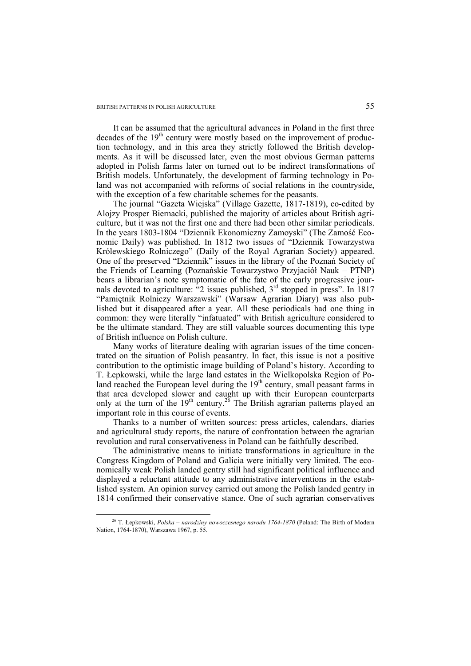It can be assumed that the agricultural advances in Poland in the first three decades of the  $19<sup>th</sup>$  century were mostly based on the improvement of production technology, and in this area they strictly followed the British developments. As it will be discussed later, even the most obvious German patterns adopted in Polish farms later on turned out to be indirect transformations of British models. Unfortunately, the development of farming technology in Poland was not accompanied with reforms of social relations in the countryside, with the exception of a few charitable schemes for the peasants.

The journal "Gazeta Wiejska" (Village Gazette, 1817-1819), co-edited by Alojzy Prosper Biernacki, published the majority of articles about British agriculture, but it was not the first one and there had been other similar periodicals. In the years 1803-1804 "Dziennik Ekonomiczny Zamoyski" (The Zamość Economic Daily) was published. In 1812 two issues of "Dziennik Towarzystwa Królewskiego Rolniczego" (Daily of the Royal Agrarian Society) appeared. One of the preserved "Dziennik" issues in the library of the Poznań Society of the Friends of Learning (Poznańskie Towarzystwo Przyjaciół Nauk – PTNP) bears a librarian's note symptomatic of the fate of the early progressive journals devoted to agriculture: "2 issues published,  $3<sup>rd</sup>$  stopped in press". In 1817 "Pamiętnik Rolniczy Warszawski" (Warsaw Agrarian Diary) was also published but it disappeared after a year. All these periodicals had one thing in common: they were literally "infatuated" with British agriculture considered to be the ultimate standard. They are still valuable sources documenting this type of British influence on Polish culture.

Many works of literature dealing with agrarian issues of the time concentrated on the situation of Polish peasantry. In fact, this issue is not a positive contribution to the optimistic image building of Poland's history. According to T. Łepkowski, while the large land estates in the Wielkopolska Region of Poland reached the European level during the  $19<sup>th</sup>$  century, small peasant farms in that area developed slower and caught up with their European counterparts only at the turn of the  $19<sup>th</sup>$  century.<sup>26</sup> The British agrarian patterns played an important role in this course of events.

Thanks to a number of written sources: press articles, calendars, diaries and agricultural study reports, the nature of confrontation between the agrarian revolution and rural conservativeness in Poland can be faithfully described.

The administrative means to initiate transformations in agriculture in the Congress Kingdom of Poland and Galicia were initially very limited. The economically weak Polish landed gentry still had significant political influence and displayed a reluctant attitude to any administrative interventions in the established system. An opinion survey carried out among the Polish landed gentry in 1814 confirmed their conservative stance. One of such agrarian conservatives

 <sup>26</sup> T. Łepkowski, *Polska – narodziny nowoczesnego narodu 1764-1870* (Poland: The Birth of Modern Nation, 1764-1870), Warszawa 1967, p. 55.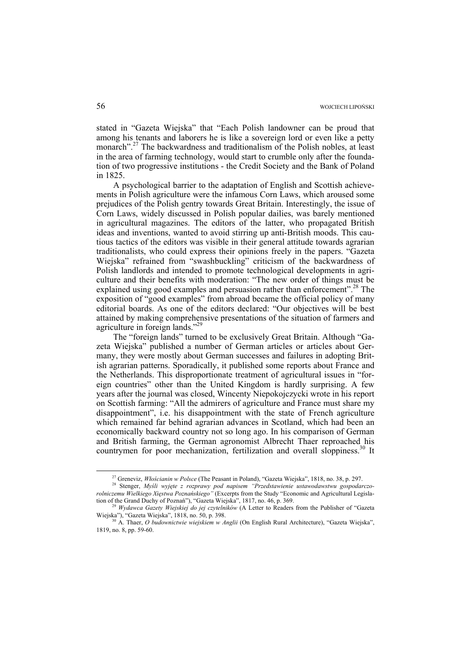stated in "Gazeta Wiejska" that "Each Polish landowner can be proud that among his tenants and laborers he is like a sovereign lord or even like a petty monarch".<sup>27</sup> The backwardness and traditionalism of the Polish nobles, at least in the area of farming technology, would start to crumble only after the foundation of two progressive institutions - the Credit Society and the Bank of Poland in 1825.

A psychological barrier to the adaptation of English and Scottish achievements in Polish agriculture were the infamous Corn Laws, which aroused some prejudices of the Polish gentry towards Great Britain. Interestingly, the issue of Corn Laws, widely discussed in Polish popular dailies, was barely mentioned in agricultural magazines. The editors of the latter, who propagated British ideas and inventions, wanted to avoid stirring up anti-British moods. This cautious tactics of the editors was visible in their general attitude towards agrarian traditionalists, who could express their opinions freely in the papers. "Gazeta Wiejska" refrained from "swashbuckling" criticism of the backwardness of Polish landlords and intended to promote technological developments in agriculture and their benefits with moderation: "The new order of things must be explained using good examples and persuasion rather than enforcement".<sup>28</sup> The exposition of "good examples" from abroad became the official policy of many editorial boards. As one of the editors declared: "Our objectives will be best attained by making comprehensive presentations of the situation of farmers and agriculture in foreign lands."<sup>29</sup>

The "foreign lands" turned to be exclusively Great Britain. Although "Gazeta Wiejska" published a number of German articles or articles about Germany, they were mostly about German successes and failures in adopting British agrarian patterns. Sporadically, it published some reports about France and the Netherlands. This disproportionate treatment of agricultural issues in "foreign countries" other than the United Kingdom is hardly surprising. A few years after the journal was closed, Wincenty Niepokojczycki wrote in his report on Scottish farming: "All the admirers of agriculture and France must share my disappointment", i.e. his disappointment with the state of French agriculture which remained far behind agrarian advances in Scotland, which had been an economically backward country not so long ago. In his comparison of German and British farming, the German agronomist Albrecht Thaer reproached his countrymen for poor mechanization, fertilization and overall sloppiness.<sup>30</sup> It

<sup>&</sup>lt;sup>27</sup> Greneviz, *Włościanin w Polsce* (The Peasant in Poland), "Gazeta Wiejska", 1818, no. 38, p. 297.<br><sup>28</sup> Stenger, *Myśli wyjęte z rozprawy pod napisem "Przedstawienie ustawodawstwu gospodarczorolniczemu Wielkiego Xięstwa Poznańskiego"* (Excerpts from the Study "Economic and Agricultural Legisla-

<sup>&</sup>lt;sup>29</sup> *Wydawca Gazety Wiejskiej do jej czytelników* (A Letter to Readers from the Publisher of "Gazeta Wiejska", 1818, no. 50, p. 398.

<sup>&</sup>lt;sup>30</sup> A. Thaer, *O budownictwie wiejskiem w Anglii* (On English Rural Architecture), "Gazeta Wiejska", 1819, no. 8, pp. 59-60.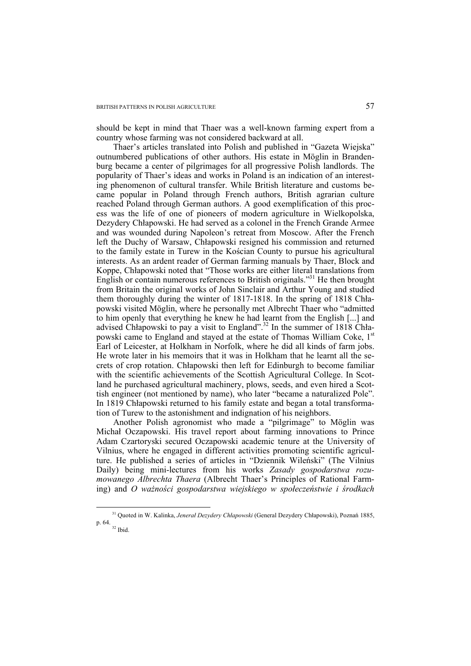should be kept in mind that Thaer was a well-known farming expert from a country whose farming was not considered backward at all.

Thaer's articles translated into Polish and published in "Gazeta Wiejska" outnumbered publications of other authors. His estate in Möglin in Brandenburg became a center of pilgrimages for all progressive Polish landlords. The popularity of Thaer's ideas and works in Poland is an indication of an interesting phenomenon of cultural transfer. While British literature and customs became popular in Poland through French authors, British agrarian culture reached Poland through German authors. A good exemplification of this process was the life of one of pioneers of modern agriculture in Wielkopolska, Dezydery Chłapowski. He had served as a colonel in the French Grande Armee and was wounded during Napoleon's retreat from Moscow. After the French left the Duchy of Warsaw, Chłapowski resigned his commission and returned to the family estate in Turew in the Kościan County to pursue his agricultural interests. As an ardent reader of German farming manuals by Thaer, Block and Koppe, Chłapowski noted that "Those works are either literal translations from English or contain numerous references to British originals."31 He then brought from Britain the original works of John Sinclair and Arthur Young and studied them thoroughly during the winter of 1817-1818. In the spring of 1818 Chłapowski visited Möglin, where he personally met Albrecht Thaer who "admitted to him openly that everything he knew he had learnt from the English [...] and advised Chłapowski to pay a visit to England".<sup>32</sup> In the summer of 1818 Chłapowski came to England and stayed at the estate of Thomas William Coke, 1<sup>st</sup> Earl of Leicester, at Holkham in Norfolk, where he did all kinds of farm jobs. He wrote later in his memoirs that it was in Holkham that he learnt all the secrets of crop rotation. Chłapowski then left for Edinburgh to become familiar with the scientific achievements of the Scottish Agricultural College. In Scotland he purchased agricultural machinery, plows, seeds, and even hired a Scottish engineer (not mentioned by name), who later "became a naturalized Pole". In 1819 Chłapowski returned to his family estate and began a total transformation of Turew to the astonishment and indignation of his neighbors.

Another Polish agronomist who made a "pilgrimage" to Möglin was Michał Oczapowski. His travel report about farming innovations to Prince Adam Czartoryski secured Oczapowski academic tenure at the University of Vilnius, where he engaged in different activities promoting scientific agriculture. He published a series of articles in "Dziennik Wileński" (The Vilnius Daily) being mini-lectures from his works *Zasady gospodarstwa rozumowanego Albrechta Thaera* (Albrecht Thaer's Principles of Rational Farming) and *O ważności gospodarstwa wiejskiego w społeczeństwie i środkach* 

 <sup>31</sup> Quoted in W. Kalinka, *Jenerał Dezydery Chłapowski* (General Dezydery Chłapowski), Poznań 1885, p. 64. 32 Ibid.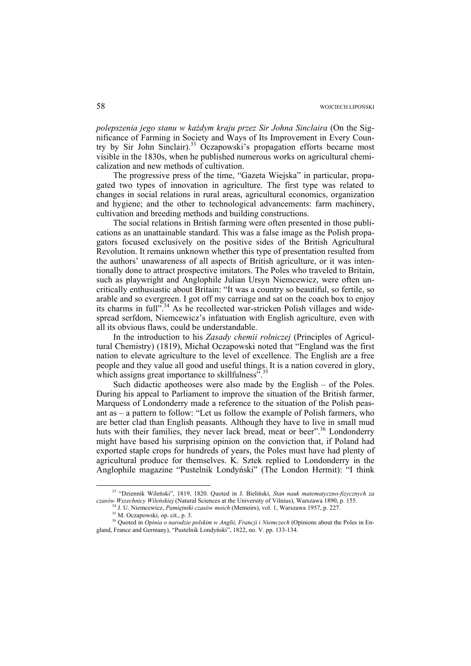*polepszenia jego stanu w każdym kraju przez Sir Johna Sinclaira* (On the Significance of Farming in Society and Ways of Its Improvement in Every Country by Sir John Sinclair).<sup>33</sup> Oczapowski's propagation efforts became most visible in the 1830s, when he published numerous works on agricultural chemicalization and new methods of cultivation.

The progressive press of the time, "Gazeta Wiejska" in particular, propagated two types of innovation in agriculture. The first type was related to changes in social relations in rural areas, agricultural economics, organization and hygiene; and the other to technological advancements: farm machinery, cultivation and breeding methods and building constructions.

The social relations in British farming were often presented in those publications as an unattainable standard. This was a false image as the Polish propagators focused exclusively on the positive sides of the British Agricultural Revolution. It remains unknown whether this type of presentation resulted from the authors' unawareness of all aspects of British agriculture, or it was intentionally done to attract prospective imitators. The Poles who traveled to Britain, such as playwright and Anglophile Julian Ursyn Niemcewicz, were often uncritically enthusiastic about Britain: "It was a country so beautiful, so fertile, so arable and so evergreen. I got off my carriage and sat on the coach box to enjoy its charms in full<sup> $5,34$ </sup> As he recollected war-stricken Polish villages and widespread serfdom, Niemcewicz's infatuation with English agriculture, even with all its obvious flaws, could be understandable.

In the introduction to his *Zasady chemii rolniczej* (Principles of Agricultural Chemistry) (1819), Michał Oczapowski noted that "England was the first nation to elevate agriculture to the level of excellence. The English are a free people and they value all good and useful things. It is a nation covered in glory, which assigns great importance to skillfulness".

Such didactic apotheoses were also made by the English – of the Poles. During his appeal to Parliament to improve the situation of the British farmer, Marquess of Londonderry made a reference to the situation of the Polish peasant as – a pattern to follow: "Let us follow the example of Polish farmers, who are better clad than English peasants. Although they have to live in small mud huts with their families, they never lack bread, meat or beer".<sup>36</sup> Londonderry might have based his surprising opinion on the conviction that, if Poland had exported staple crops for hundreds of years, the Poles must have had plenty of agricultural produce for themselves. K. Sztek replied to Londonderry in the Anglophile magazine "Pustelnik Londyński" (The London Hermit): "I think

 <sup>33 &</sup>quot;Dziennik Wileński", 1819, 1820. Quoted in J. Bieliński, *Stan nauk matematyczno-fizycznych za*  czasów Wszechnicy Wileńskiej (Natural Sciences at the University of Vilnius), Warszawa 1890, p. 155.<br><sup>34</sup> J. U. Niemcewicz, *Pamiętniki czasów moich* (Memoirs), vol. 1, Warszawa 1957, p. 227.<br><sup>35</sup> M. Oczapowski, op. cit.,

<sup>&</sup>lt;sup>36</sup> Quoted in *Opinia o narodzie polskim w Anglii, Francji i Niemczech* (Opinions about the Poles in England, France and Germany), "Pustelnik Londyński", 1822, no. V. pp. 133-134.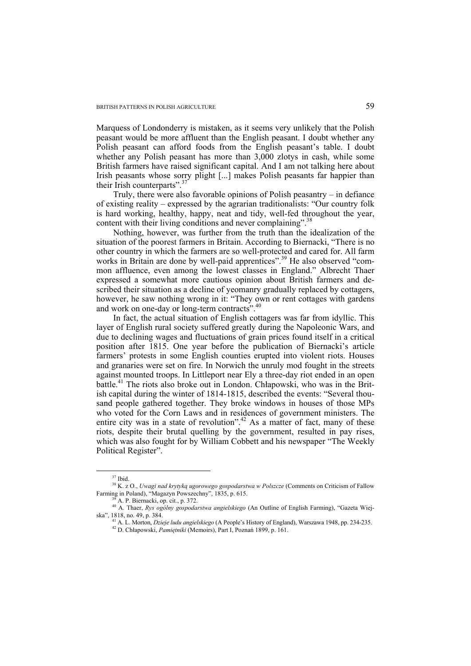Marquess of Londonderry is mistaken, as it seems very unlikely that the Polish peasant would be more affluent than the English peasant. I doubt whether any Polish peasant can afford foods from the English peasant's table. I doubt whether any Polish peasant has more than 3,000 zlotys in cash, while some British farmers have raised significant capital. And I am not talking here about Irish peasants whose sorry plight [...] makes Polish peasants far happier than their Irish counterparts". $37$ 

Truly, there were also favorable opinions of Polish peasantry – in defiance of existing reality – expressed by the agrarian traditionalists: "Our country folk is hard working, healthy, happy, neat and tidy, well-fed throughout the year, content with their living conditions and never complaining".<sup>38</sup>

Nothing, however, was further from the truth than the idealization of the situation of the poorest farmers in Britain. According to Biernacki, "There is no other country in which the farmers are so well-protected and cared for. All farm works in Britain are done by well-paid apprentices".<sup>39</sup> He also observed "common affluence, even among the lowest classes in England." Albrecht Thaer expressed a somewhat more cautious opinion about British farmers and described their situation as a decline of yeomanry gradually replaced by cottagers, however, he saw nothing wrong in it: "They own or rent cottages with gardens and work on one-day or long-term contracts".<sup>40</sup>

In fact, the actual situation of English cottagers was far from idyllic. This layer of English rural society suffered greatly during the Napoleonic Wars, and due to declining wages and fluctuations of grain prices found itself in a critical position after 1815. One year before the publication of Biernacki's article farmers' protests in some English counties erupted into violent riots. Houses and granaries were set on fire. In Norwich the unruly mod fought in the streets against mounted troops. In Littleport near Ely a three-day riot ended in an open battle.<sup>41</sup> The riots also broke out in London. Chłapowski, who was in the British capital during the winter of 1814-1815, described the events: "Several thousand people gathered together. They broke windows in houses of those MPs who voted for the Corn Laws and in residences of government ministers. The entire city was in a state of revolution".<sup>42</sup> As a matter of fact, many of these riots, despite their brutal quelling by the government, resulted in pay rises, which was also fought for by William Cobbett and his newspaper "The Weekly Political Register".

 <sup>37</sup> Ibid.

<sup>38</sup> K. z O., *Uwagi nad krytyką ugorowego gospodarstwa w Polszcze* (Comments on Criticism of Fallow Farming in Poland), "Magazyn Powszechny", 1835, p. 615.<br><sup>39</sup> A. P. Biernacki, op. cit., p. 372.

<sup>40</sup> A. Thaer, *Rys ogólny gospodarstwa angielskiego* (An Outline of English Farming), "Gazeta Wiej-

<sup>&</sup>lt;sup>41</sup> A. L. Morton, *Dzieje ludu angielskiego* (A People's History of England), Warszawa 1948, pp. 234-235.<br><sup>42</sup> D. Chłapowski, *Pamiętniki* (Memoirs), Part I, Poznań 1899, p. 161.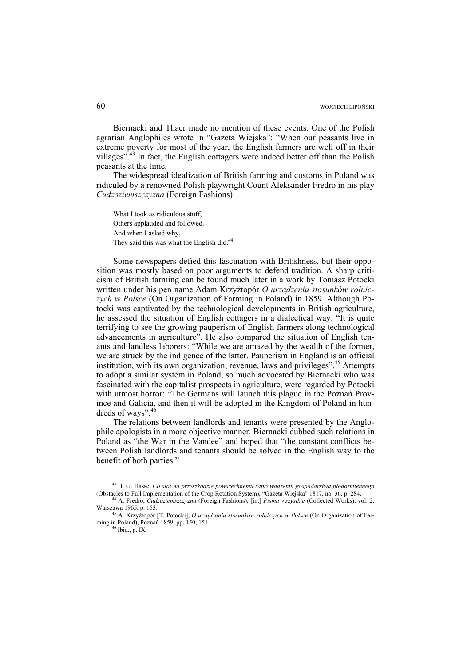Biernacki and Thaer made no mention of these events. One of the Polish agrarian Anglophiles wrote in "Gazeta Wiejska": "When our peasants live in extreme poverty for most of the year, the English farmers are well off in their villages"<sup>.43</sup> In fact, the English cottagers were indeed better off than the Polish peasants at the time.

The widespread idealization of British farming and customs in Poland was ridiculed by a renowned Polish playwright Count Aleksander Fredro in his play *Cudzoziemszczyzna* (Foreign Fashions):

What I took as ridiculous stuff, Others applauded and followed. And when I asked why, They said this was what the English did.<sup>44</sup>

Some newspapers defied this fascination with Britishness, but their opposition was mostly based on poor arguments to defend tradition. A sharp criticism of British farming can be found much later in a work by Tomasz Potocki written under his pen name Adam Krzyżtopór *O urządzeniu stosunków rolniczych w Polsce* (On Organization of Farming in Poland) in 1859. Although Potocki was captivated by the technological developments in British agriculture, he assessed the situation of English cottagers in a dialectical way: "It is quite terrifying to see the growing pauperism of English farmers along technological advancements in agriculture". He also compared the situation of English tenants and landless laborers: "While we are amazed by the wealth of the former, we are struck by the indigence of the latter. Pauperism in England is an official institution, with its own organization, revenue, laws and privileges".<sup>45</sup> Attempts to adopt a similar system in Poland, so much advocated by Biernacki who was fascinated with the capitalist prospects in agriculture, were regarded by Potocki with utmost horror: "The Germans will launch this plague in the Poznań Province and Galicia, and then it will be adopted in the Kingdom of Poland in hundreds of ways". $46$ 

The relations between landlords and tenants were presented by the Anglophile apologists in a more objective manner. Biernacki dubbed such relations in Poland as "the War in the Vandee" and hoped that "the constant conflicts between Polish landlords and tenants should be solved in the English way to the benefit of both parties."

 <sup>43</sup> H. G. Hasse, *Co stoi na przeszkodzie powszechnemu zaprowadzeniu gospodarstwa płodozmiennego*  (Obstacles to Full Implementation of the Crop Rotation System), "Gazeta Wiejska" 1817, no. 36, p. 284. 44 A. Fredro, *Cudzoziemszczyzna* (Foreign Fashions), [in:] *Pisma wszystkie* (Collected Works), vol. 2,

Warszawa 1965, p. 153. 45 A. Krzyżtopór [T. Potocki], *O urządzaniu stosunków rolniczych w Polsce* (On Organization of Far-

ming in Poland), Poznań 1859, pp. 150, 151. 46 Ibid., p. IX.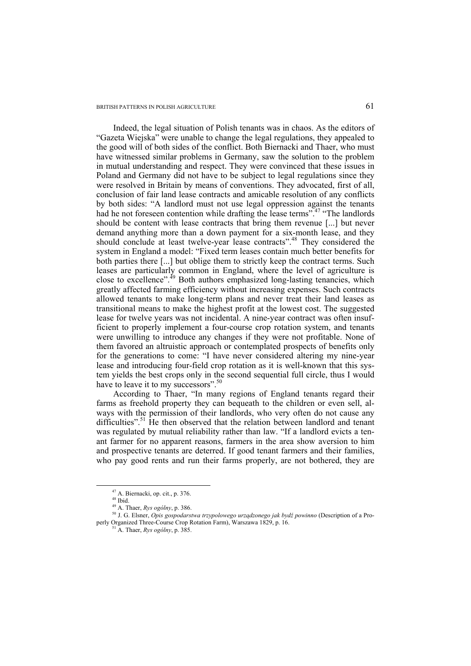Indeed, the legal situation of Polish tenants was in chaos. As the editors of "Gazeta Wiejska" were unable to change the legal regulations, they appealed to the good will of both sides of the conflict. Both Biernacki and Thaer, who must have witnessed similar problems in Germany, saw the solution to the problem in mutual understanding and respect. They were convinced that these issues in Poland and Germany did not have to be subject to legal regulations since they were resolved in Britain by means of conventions. They advocated, first of all, conclusion of fair land lease contracts and amicable resolution of any conflicts by both sides: "A landlord must not use legal oppression against the tenants had he not foreseen contention while drafting the lease terms".<sup>47</sup> "The landlords" should be content with lease contracts that bring them revenue [...] but never demand anything more than a down payment for a six-month lease, and they should conclude at least twelve-year lease contracts".48 They considered the system in England a model: "Fixed term leases contain much better benefits for both parties there [...] but oblige them to strictly keep the contract terms. Such leases are particularly common in England, where the level of agriculture is close to excellence".<sup>49</sup> Both authors emphasized long-lasting tenancies, which greatly affected farming efficiency without increasing expenses. Such contracts allowed tenants to make long-term plans and never treat their land leases as transitional means to make the highest profit at the lowest cost. The suggested lease for twelve years was not incidental. A nine-year contract was often insufficient to properly implement a four-course crop rotation system, and tenants were unwilling to introduce any changes if they were not profitable. None of them favored an altruistic approach or contemplated prospects of benefits only for the generations to come: "I have never considered altering my nine-year lease and introducing four-field crop rotation as it is well-known that this system yields the best crops only in the second sequential full circle, thus I would have to leave it to my successors".<sup>50</sup>

According to Thaer, "In many regions of England tenants regard their farms as freehold property they can bequeath to the children or even sell, always with the permission of their landlords, who very often do not cause any difficulties".<sup>51</sup> He then observed that the relation between landlord and tenant was regulated by mutual reliability rather than law. "If a landlord evicts a tenant farmer for no apparent reasons, farmers in the area show aversion to him and prospective tenants are deterred. If good tenant farmers and their families, who pay good rents and run their farms properly, are not bothered, they are

 <sup>47</sup> A. Biernacki, op. cit., p. 376.

<sup>&</sup>lt;sup>48</sup> Ibid.<br> $^{49}$  A. Thaer, *Rys ogólny*, p. 386.

<sup>49</sup> A. Thaer, *Rys ogólny*, p. 386. 50 J. G. Elsner, *Opis gospodarstwa trzypolowego urządzonego jak bydź powinno* (Description of a Properly Organized Three-Course Crop Rotation Farm), Warszawa 1829, p. 16. 51 A. Thaer, *Rys ogólny*, p. 385.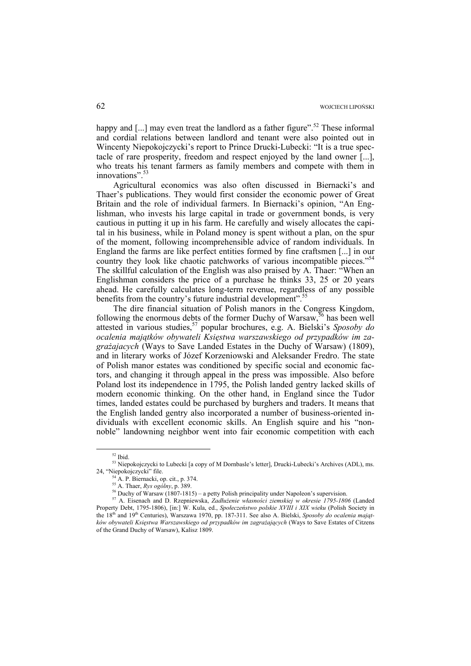happy and  $[...]$  may even treat the landlord as a father figure".<sup>52</sup> These informal and cordial relations between landlord and tenant were also pointed out in Wincenty Niepokojczycki's report to Prince Drucki-Lubecki: "It is a true spectacle of rare prosperity, freedom and respect enjoyed by the land owner [...], who treats his tenant farmers as family members and compete with them in innovations".

Agricultural economics was also often discussed in Biernacki's and Thaer's publications. They would first consider the economic power of Great Britain and the role of individual farmers. In Biernacki's opinion, "An Englishman, who invests his large capital in trade or government bonds, is very cautious in putting it up in his farm. He carefully and wisely allocates the capital in his business, while in Poland money is spent without a plan, on the spur of the moment, following incomprehensible advice of random individuals. In England the farms are like perfect entities formed by fine craftsmen [...] in our country they look like chaotic patchworks of various incompatible pieces."<sup>54</sup> The skillful calculation of the English was also praised by A. Thaer: "When an Englishman considers the price of a purchase he thinks 33, 25 or 20 years ahead. He carefully calculates long-term revenue, regardless of any possible benefits from the country's future industrial development".<sup>55</sup>

The dire financial situation of Polish manors in the Congress Kingdom, following the enormous debts of the former Duchy of Warsaw,<sup>56</sup> has been well attested in various studies,<sup>57</sup> popular brochures, e.g. A. Bielski's *Sposoby do ocalenia majątków obywateli Księstwa warszawskiego od przypadków im zagrażajacych* (Ways to Save Landed Estates in the Duchy of Warsaw) (1809), and in literary works of Józef Korzeniowski and Aleksander Fredro. The state of Polish manor estates was conditioned by specific social and economic factors, and changing it through appeal in the press was impossible. Also before Poland lost its independence in 1795, the Polish landed gentry lacked skills of modern economic thinking. On the other hand, in England since the Tudor times, landed estates could be purchased by burghers and traders. It means that the English landed gentry also incorporated a number of business-oriented individuals with excellent economic skills. An English squire and his "nonnoble" landowning neighbor went into fair economic competition with each

 <sup>52</sup> Ibid.

<sup>&</sup>lt;sup>53</sup> Niepokojczycki to Lubecki [a copy of M Dornbasle's letter], Drucki-Lubecki's Archives (ADL), ms. 24, "Niepokojczycki" file.<br><sup>54</sup> A. P. Biernacki, op. cit., p. 374.<br><sup>55</sup> A. Thaer, *Rys ogólny*, p. 389.

<sup>&</sup>lt;sup>56</sup> Duchy of Warsaw (1807-1815) – a petty Polish principality under Napoleon's supervision.<br><sup>57</sup> A. Eisenach and D. Rzepniewska, *Zadłużenie własności ziemskiej w okresie 1795-1806* (Landed Property Debt, 1795-1806), [in:] W. Kula, ed., *Społeczeństwo polskie XVIII i XIX wieku* (Polish Society in the 18th and 19th Centuries), Warszawa 1970, pp. 187-311. See also A. Bielski, *Sposoby do ocalenia majątków obywateli Księstwa Warszawskiego od przypadków im zagrażających* (Ways to Save Estates of Citzens of the Grand Duchy of Warsaw), Kalisz 1809.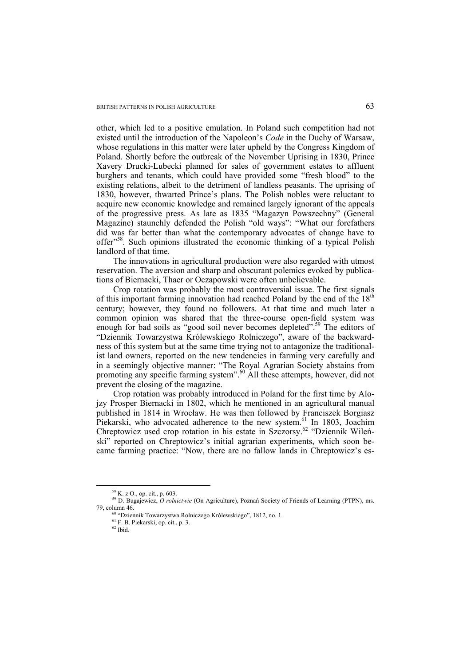other, which led to a positive emulation. In Poland such competition had not existed until the introduction of the Napoleon's *Code* in the Duchy of Warsaw, whose regulations in this matter were later upheld by the Congress Kingdom of Poland. Shortly before the outbreak of the November Uprising in 1830, Prince Xavery Drucki-Lubecki planned for sales of government estates to affluent burghers and tenants, which could have provided some "fresh blood" to the existing relations, albeit to the detriment of landless peasants. The uprising of 1830, however, thwarted Prince's plans. The Polish nobles were reluctant to acquire new economic knowledge and remained largely ignorant of the appeals of the progressive press. As late as 1835 "Magazyn Powszechny" (General Magazine) staunchly defended the Polish "old ways": "What our forefathers did was far better than what the contemporary advocates of change have to offer"58. Such opinions illustrated the economic thinking of a typical Polish landlord of that time.

The innovations in agricultural production were also regarded with utmost reservation. The aversion and sharp and obscurant polemics evoked by publications of Biernacki, Thaer or Oczapowski were often unbelievable.

Crop rotation was probably the most controversial issue. The first signals of this important farming innovation had reached Poland by the end of the  $18<sup>th</sup>$ century; however, they found no followers. At that time and much later a common opinion was shared that the three-course open-field system was enough for bad soils as "good soil never becomes depleted".<sup>59</sup> The editors of "Dziennik Towarzystwa Królewskiego Rolniczego", aware of the backwardness of this system but at the same time trying not to antagonize the traditionalist land owners, reported on the new tendencies in farming very carefully and in a seemingly objective manner: "The Royal Agrarian Society abstains from promoting any specific farming system".60 All these attempts, however, did not prevent the closing of the magazine.

Crop rotation was probably introduced in Poland for the first time by Alojzy Prosper Biernacki in 1802, which he mentioned in an agricultural manual published in 1814 in Wrocław. He was then followed by Franciszek Borgiasz Piekarski, who advocated adherence to the new system.<sup>61</sup> In 1803, Joachim Chreptowicz used crop rotation in his estate in Szczorsy.<sup>62</sup> "Dziennik Wileński" reported on Chreptowicz's initial agrarian experiments, which soon became farming practice: "Now, there are no fallow lands in Chreptowicz's es-

 <sup>58</sup> K. z O., op. cit., p. 603.

<sup>59</sup> D. Bugajewicz, *O rolnictwie* (On Agriculture), Poznań Society of Friends of Learning (PTPN), ms. 79, column 46. <sup>60</sup> "Dziennik Towarzystwa Rolniczego Królewskiego", 1812, no. 1. <sup>61</sup> F. B. Piekarski, op. cit., p. 3.

 $62$  Ibid.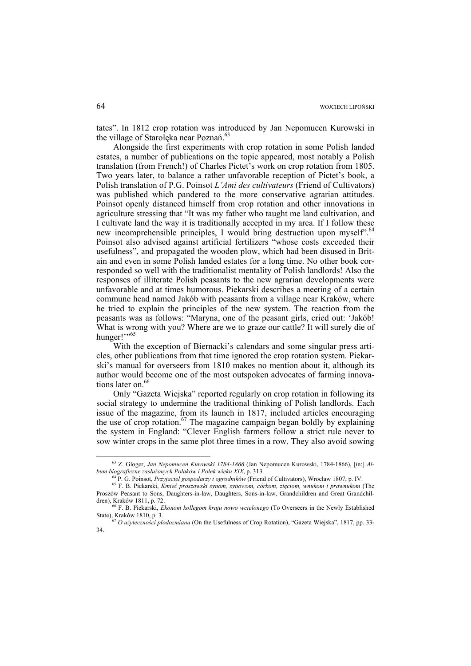tates". In 1812 crop rotation was introduced by Jan Nepomucen Kurowski in the village of Starołęka near Poznań. 63

Alongside the first experiments with crop rotation in some Polish landed estates, a number of publications on the topic appeared, most notably a Polish translation (from French!) of Charles Pictet's work on crop rotation from 1805. Two years later, to balance a rather unfavorable reception of Pictet's book, a Polish translation of P.G. Poinsot *L'Ami des cultivateurs* (Friend of Cultivators) was published which pandered to the more conservative agrarian attitudes. Poinsot openly distanced himself from crop rotation and other innovations in agriculture stressing that "It was my father who taught me land cultivation, and I cultivate land the way it is traditionally accepted in my area. If I follow these new incomprehensible principles. I would bring destruction upon myself<sup>".6</sup> Poinsot also advised against artificial fertilizers "whose costs exceeded their usefulness", and propagated the wooden plow, which had been disused in Britain and even in some Polish landed estates for a long time. No other book corresponded so well with the traditionalist mentality of Polish landlords! Also the responses of illiterate Polish peasants to the new agrarian developments were unfavorable and at times humorous. Piekarski describes a meeting of a certain commune head named Jakób with peasants from a village near Kraków, where he tried to explain the principles of the new system. The reaction from the peasants was as follows: "Maryna, one of the peasant girls, cried out: 'Jakób! What is wrong with you? Where are we to graze our cattle? It will surely die of hunger!"<sup>55</sup>

With the exception of Biernacki's calendars and some singular press articles, other publications from that time ignored the crop rotation system. Piekarski's manual for overseers from 1810 makes no mention about it, although its author would become one of the most outspoken advocates of farming innovations later on.<sup>66</sup>

Only "Gazeta Wiejska" reported regularly on crop rotation in following its social strategy to undermine the traditional thinking of Polish landlords. Each issue of the magazine, from its launch in 1817, included articles encouraging the use of crop rotation.<sup>67</sup> The magazine campaign began boldly by explaining the system in England: "Clever English farmers follow a strict rule never to sow winter crops in the same plot three times in a row. They also avoid sowing

<sup>&</sup>lt;sup>63</sup> Z. Gloger, *Jan Nepomucen Kurowski 1784-1866* (Jan Nepomucen Kurowski, 1784-1866), [in:] *Al-*<br> *bum biograficzne zasłużonych Polaków i Polek wieku XIX*, p. 313.

<sup>&</sup>lt;sup>64</sup> P. G. Poinsot, *Przyjaciel gospodarzy i ogrodników* (Friend of Cultivators), Wrocław 1807, p. IV.<br><sup>65</sup> F. B. Piekarski, *Kmieć proszowski synom, synowom, córkom, zięciom, wnukom i prawnukom* (The

Proszów Peasant to Sons, Daughters-in-law, Daughters, Sons-in-law, Grandchildren and Great Grandchil-

dren), Kraków 1811, p. 72.<br><sup>66</sup> F. B. Piekarski, *Ekonom kollegom kraju nowo wcielonego* (To Overseers in the Newly Established State), Kraków 1810, p. 3.

State), Kraków 1810, p. 3. 67 *O użyteczności płodozmianu* (On the Usefulness of Crop Rotation), "Gazeta Wiejska", 1817, pp. 33- 34.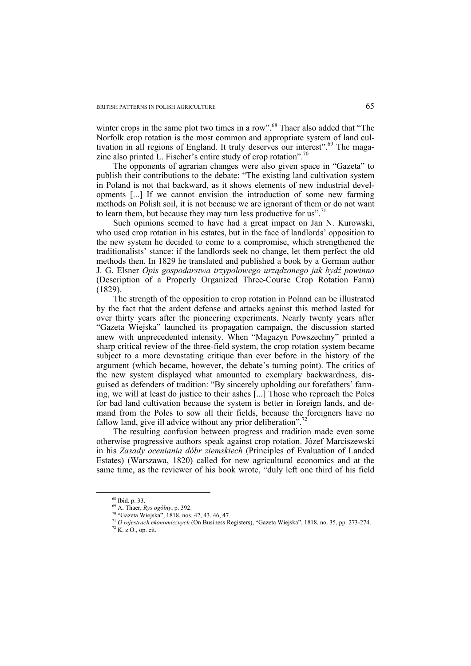winter crops in the same plot two times in a row".<sup>68</sup> Thaer also added that "The Norfolk crop rotation is the most common and appropriate system of land cultivation in all regions of England. It truly deserves our interest".<sup>69</sup> The magazine also printed L. Fischer's entire study of crop rotation".<sup>7</sup>

The opponents of agrarian changes were also given space in "Gazeta" to publish their contributions to the debate: "The existing land cultivation system in Poland is not that backward, as it shows elements of new industrial developments [...] If we cannot envision the introduction of some new farming methods on Polish soil, it is not because we are ignorant of them or do not want to learn them, but because they may turn less productive for us".<sup>7</sup>

Such opinions seemed to have had a great impact on Jan N. Kurowski, who used crop rotation in his estates, but in the face of landlords' opposition to the new system he decided to come to a compromise, which strengthened the traditionalists' stance: if the landlords seek no change, let them perfect the old methods then. In 1829 he translated and published a book by a German author J. G. Elsner *Opis gospodarstwa trzypolowego urządzonego jak bydź powinno*  (Description of a Properly Organized Three-Course Crop Rotation Farm) (1829).

The strength of the opposition to crop rotation in Poland can be illustrated by the fact that the ardent defense and attacks against this method lasted for over thirty years after the pioneering experiments. Nearly twenty years after "Gazeta Wiejska" launched its propagation campaign, the discussion started anew with unprecedented intensity. When "Magazyn Powszechny" printed a sharp critical review of the three-field system, the crop rotation system became subject to a more devastating critique than ever before in the history of the argument (which became, however, the debate's turning point). The critics of the new system displayed what amounted to exemplary backwardness, disguised as defenders of tradition: "By sincerely upholding our forefathers' farming, we will at least do justice to their ashes [...] Those who reproach the Poles for bad land cultivation because the system is better in foreign lands, and demand from the Poles to sow all their fields, because the foreigners have no fallow land, give ill advice without any prior deliberation".<sup>72</sup>

The resulting confusion between progress and tradition made even some otherwise progressive authors speak against crop rotation. Józef Marciszewski in his *Zasady oceniania dóbr ziemskiech* (Principles of Evaluation of Landed Estates) (Warszawa, 1820) called for new agricultural economics and at the same time, as the reviewer of his book wrote, "duly left one third of his field

 $^{68}$  Ibid. p. 33.<br> $^{69}$  A. Thaer, *Rys ogólny*, p. 392.

<sup>&</sup>lt;sup>70</sup> "Gazeta Wiejska", 1818, nos. 42, 43, 46, 47.

<sup>71</sup> *O rejestrach ekonomicznych* (On Business Registers), "Gazeta Wiejska", 1818, no. 35, pp. 273-274. 72 K. z O., op. cit.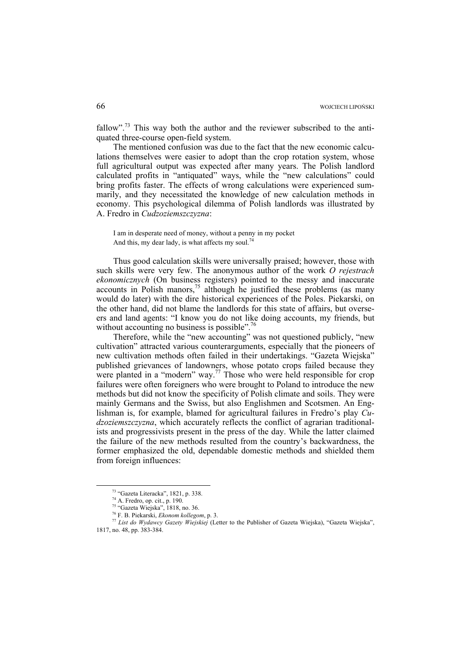fallow".<sup>73</sup> This way both the author and the reviewer subscribed to the antiquated three-course open-field system.

The mentioned confusion was due to the fact that the new economic calculations themselves were easier to adopt than the crop rotation system, whose full agricultural output was expected after many years. The Polish landlord calculated profits in "antiquated" ways, while the "new calculations" could bring profits faster. The effects of wrong calculations were experienced summarily, and they necessitated the knowledge of new calculation methods in economy. This psychological dilemma of Polish landlords was illustrated by A. Fredro in *Cudzoziemszczyzna*:

I am in desperate need of money, without a penny in my pocket And this, my dear lady, is what affects my soul.<sup>74</sup>

Thus good calculation skills were universally praised; however, those with such skills were very few. The anonymous author of the work *O rejestrach ekonomicznych* (On business registers) pointed to the messy and inaccurate accounts in Polish manors,  $7<sup>5</sup>$  although he justified these problems (as many would do later) with the dire historical experiences of the Poles. Piekarski, on the other hand, did not blame the landlords for this state of affairs, but overseers and land agents: "I know you do not like doing accounts, my friends, but without accounting no business is possible".<sup>76</sup>

Therefore, while the "new accounting" was not questioned publicly, "new cultivation" attracted various counterarguments, especially that the pioneers of new cultivation methods often failed in their undertakings. "Gazeta Wiejska" published grievances of landowners, whose potato crops failed because they were planted in a "modern" way.<sup>77</sup> Those who were held responsible for crop failures were often foreigners who were brought to Poland to introduce the new methods but did not know the specificity of Polish climate and soils. They were mainly Germans and the Swiss, but also Englishmen and Scotsmen. An Englishman is, for example, blamed for agricultural failures in Fredro's play *Cudzoziemszczyzna*, which accurately reflects the conflict of agrarian traditionalists and progressivists present in the press of the day. While the latter claimed the failure of the new methods resulted from the country's backwardness, the former emphasized the old, dependable domestic methods and shielded them from foreign influences:

 <sup>73 &</sup>quot;Gazeta Literacka", 1821, p. 338.

<sup>74</sup> A. Fredro, op. cit., p. 190.

<sup>&</sup>lt;sup>75</sup> "Gazeta Wiejska", 1818, no. 36.<br><sup>76</sup> F. B. Piekarski, *Ekonom kollegom*, p. 3.

<sup>&</sup>lt;sup>77</sup> List do Wydawcy Gazety Wiejskiej (Letter to the Publisher of Gazeta Wiejska), "Gazeta Wiejska", 1817, no. 48, pp. 383-384.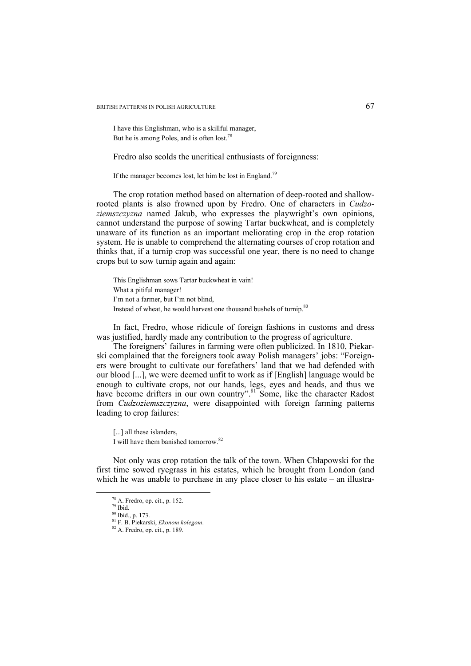BRITISH PATTERNS IN POLISH AGRICULTURE 67

I have this Englishman, who is a skillful manager, But he is among Poles, and is often lost.<sup>78</sup>

Fredro also scolds the uncritical enthusiasts of foreignness:

If the manager becomes lost, let him be lost in England.<sup>79</sup>

The crop rotation method based on alternation of deep-rooted and shallowrooted plants is also frowned upon by Fredro. One of characters in *Cudzoziemszczyzna* named Jakub, who expresses the playwright's own opinions, cannot understand the purpose of sowing Tartar buckwheat, and is completely unaware of its function as an important meliorating crop in the crop rotation system. He is unable to comprehend the alternating courses of crop rotation and thinks that, if a turnip crop was successful one year, there is no need to change crops but to sow turnip again and again:

This Englishman sows Tartar buckwheat in vain! What a pitiful manager! I'm not a farmer, but I'm not blind, Instead of wheat, he would harvest one thousand bushels of turnip.<sup>80</sup>

In fact, Fredro, whose ridicule of foreign fashions in customs and dress was justified, hardly made any contribution to the progress of agriculture.

The foreigners' failures in farming were often publicized. In 1810, Piekarski complained that the foreigners took away Polish managers' jobs: "Foreigners were brought to cultivate our forefathers' land that we had defended with our blood [...], we were deemed unfit to work as if [English] language would be enough to cultivate crops, not our hands, legs, eyes and heads, and thus we have become drifters in our own country".<sup>81</sup> Some, like the character Radost from *Cudzoziemszczyzna*, were disappointed with foreign farming patterns leading to crop failures:

I will have them banished tomorrow.82

Not only was crop rotation the talk of the town. When Chłapowski for the first time sowed ryegrass in his estates, which he brought from London (and which he was unable to purchase in any place closer to his estate – an illustra-

<sup>[...]</sup> all these islanders,

 <sup>78</sup> A. Fredro, op. cit., p. 152.

<sup>79</sup> Ibid. 80 Ibid., p. 173.

<sup>81</sup> F. B. Piekarski, *Ekonom kolegom*. 82 A. Fredro, op. cit., p. 189.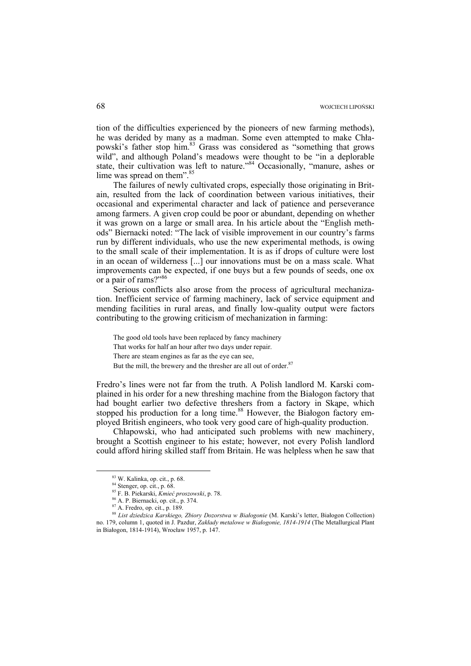tion of the difficulties experienced by the pioneers of new farming methods), he was derided by many as a madman. Some even attempted to make Chłapowski's father stop him.<sup>83</sup> Grass was considered as "something that grows wild", and although Poland's meadows were thought to be "in a deplorable state, their cultivation was left to nature."<sup>84</sup> Occasionally, "manure, ashes or lime was spread on them".<sup>85</sup>

The failures of newly cultivated crops, especially those originating in Britain, resulted from the lack of coordination between various initiatives, their occasional and experimental character and lack of patience and perseverance among farmers. A given crop could be poor or abundant, depending on whether it was grown on a large or small area. In his article about the "English methods" Biernacki noted: "The lack of visible improvement in our country's farms run by different individuals, who use the new experimental methods, is owing to the small scale of their implementation. It is as if drops of culture were lost in an ocean of wilderness [...] our innovations must be on a mass scale. What improvements can be expected, if one buys but a few pounds of seeds, one ox or a pair of rams?"<sup>86</sup>

Serious conflicts also arose from the process of agricultural mechanization. Inefficient service of farming machinery, lack of service equipment and mending facilities in rural areas, and finally low-quality output were factors contributing to the growing criticism of mechanization in farming:

The good old tools have been replaced by fancy machinery That works for half an hour after two days under repair. There are steam engines as far as the eye can see, But the mill, the brewery and the thresher are all out of order.<sup>87</sup>

Fredro's lines were not far from the truth. A Polish landlord M. Karski complained in his order for a new threshing machine from the Białogon factory that had bought earlier two defective threshers from a factory in Skąpe, which stopped his production for a long time.<sup>88</sup> However, the Białogon factory employed British engineers, who took very good care of high-quality production.

Chłapowski, who had anticipated such problems with new machinery, brought a Scottish engineer to his estate; however, not every Polish landlord could afford hiring skilled staff from Britain. He was helpless when he saw that

 <sup>83</sup> W. Kalinka, op. cit., p. 68.

<sup>84</sup> Stenger, op. cit., p. 68.

<sup>85</sup> F. B. Piekarski, *Kmieć proszowski*, p. 78. 86 A. P. Biernacki, op. cit., p. 374.

<sup>87</sup> A. Fredro, op. cit., p. 189.

<sup>88</sup> *List dziedzica Karskiego, Zbiory Dozorstwa w Białogonie* (M. Karski's letter, Białogon Collection) no. 179, column 1, quoted in J. Pazdur, *Zakłady metalowe w Białogonie, 1814-1914* (The Metallurgical Plant in Białogon, 1814-1914), Wrocław 1957, p. 147.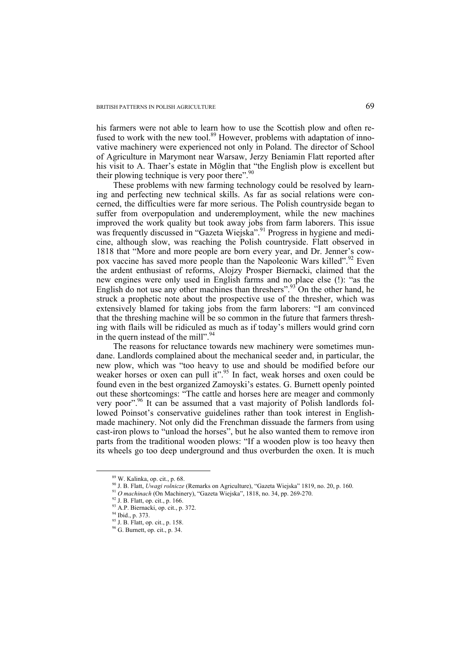his farmers were not able to learn how to use the Scottish plow and often refused to work with the new tool.<sup>89</sup> However, problems with adaptation of innovative machinery were experienced not only in Poland. The director of School of Agriculture in Marymont near Warsaw, Jerzy Beniamin Flatt reported after his visit to A. Thaer's estate in Möglin that "the English plow is excellent but their plowing technique is very poor there".<sup>90</sup>

These problems with new farming technology could be resolved by learning and perfecting new technical skills. As far as social relations were concerned, the difficulties were far more serious. The Polish countryside began to suffer from overpopulation and underemployment, while the new machines improved the work quality but took away jobs from farm laborers. This issue was frequently discussed in "Gazeta Wiejska".<sup>91</sup> Progress in hygiene and medicine, although slow, was reaching the Polish countryside. Flatt observed in 1818 that "More and more people are born every year, and Dr. Jenner's cowpox vaccine has saved more people than the Napoleonic Wars killed".<sup>92</sup> Even the ardent enthusiast of reforms, Alojzy Prosper Biernacki, claimed that the new engines were only used in English farms and no place else (!): "as the English do not use any other machines than threshers".<sup>93</sup> On the other hand, he struck a prophetic note about the prospective use of the thresher, which was extensively blamed for taking jobs from the farm laborers: "I am convinced that the threshing machine will be so common in the future that farmers threshing with flails will be ridiculed as much as if today's millers would grind corn in the quern instead of the mill".<sup>94</sup>

The reasons for reluctance towards new machinery were sometimes mundane. Landlords complained about the mechanical seeder and, in particular, the new plow, which was "too heavy to use and should be modified before our weaker horses or oxen can pull it".<sup>95</sup> In fact, weak horses and oxen could be found even in the best organized Zamoyski's estates. G. Burnett openly pointed out these shortcomings: "The cattle and horses here are meager and commonly very poor".<sup>96</sup> It can be assumed that a vast majority of Polish landlords followed Poinsot's conservative guidelines rather than took interest in Englishmade machinery. Not only did the Frenchman dissuade the farmers from using cast-iron plows to "unload the horses", but he also wanted them to remove iron parts from the traditional wooden plows: "If a wooden plow is too heavy then its wheels go too deep underground and thus overburden the oxen. It is much

 <sup>89</sup> W. Kalinka, op. cit., p. 68.

<sup>&</sup>lt;sup>90</sup> J. B. Flatt, *Uwagi rolnicze* (Remarks on Agriculture), "Gazeta Wiejska" 1819, no. 20, p. 160. <sup>91</sup> *O machinach* (On Machinery), "Gazeta Wiejska", 1818, no. 34, pp. 269-270. <sup>92</sup> J. B. Flatt, op. cit., p. 166.

<sup>&</sup>lt;sup>93</sup> A.P. Biernacki, op. cit., p. 372.

<sup>94</sup> Ibid., p. 373.

<sup>95</sup> J. B. Flatt, op. cit., p. 158.

<sup>96</sup> G. Burnett, op. cit., p. 34.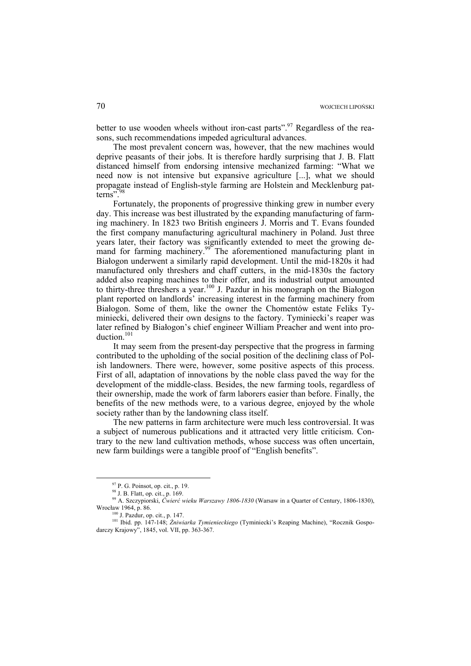better to use wooden wheels without iron-cast parts".<sup>97</sup> Regardless of the reasons, such recommendations impeded agricultural advances.

The most prevalent concern was, however, that the new machines would deprive peasants of their jobs. It is therefore hardly surprising that J. B. Flatt distanced himself from endorsing intensive mechanized farming: "What we need now is not intensive but expansive agriculture [...], what we should propagate instead of English-style farming are Holstein and Mecklenburg patterns".<sup>98</sup>

Fortunately, the proponents of progressive thinking grew in number every day. This increase was best illustrated by the expanding manufacturing of farming machinery. In 1823 two British engineers J. Morris and T. Evans founded the first company manufacturing agricultural machinery in Poland. Just three years later, their factory was significantly extended to meet the growing demand for farming machinery.<sup>99</sup> The aforementioned manufacturing plant in Białogon underwent a similarly rapid development. Until the mid-1820s it had manufactured only threshers and chaff cutters, in the mid-1830s the factory added also reaping machines to their offer, and its industrial output amounted to thirty-three threshers a year.<sup>100</sup> J. Pazdur in his monograph on the Białogon plant reported on landlords' increasing interest in the farming machinery from Białogon. Some of them, like the owner the Chomentów estate Feliks Tyminiecki, delivered their own designs to the factory. Tyminiecki's reaper was later refined by Białogon's chief engineer William Preacher and went into production. $101$ 

It may seem from the present-day perspective that the progress in farming contributed to the upholding of the social position of the declining class of Polish landowners. There were, however, some positive aspects of this process. First of all, adaptation of innovations by the noble class paved the way for the development of the middle-class. Besides, the new farming tools, regardless of their ownership, made the work of farm laborers easier than before. Finally, the benefits of the new methods were, to a various degree, enjoyed by the whole society rather than by the landowning class itself.

The new patterns in farm architecture were much less controversial. It was a subject of numerous publications and it attracted very little criticism. Contrary to the new land cultivation methods, whose success was often uncertain, new farm buildings were a tangible proof of "English benefits".

 $97$  P. G. Poinsot, op. cit., p. 19.

<sup>98</sup> J. B. Flatt, op. cit., p. 169.

<sup>99</sup> A. Szczypiorski, *Ćwierć wieku Warszawy 1806-1830* (Warsaw in a Quarter of Century, 1806-1830), Wrocław 1964, p. 86.<br><sup>100</sup> J. Pazdur, op. cit., p. 147.

<sup>&</sup>lt;sup>101</sup> Ibid. pp. 147-148; Żniwiarka Tymienieckiego (Tyminiecki's Reaping Machine), "Rocznik Gospodarczy Krajowy", 1845, vol. VII, pp. 363-367.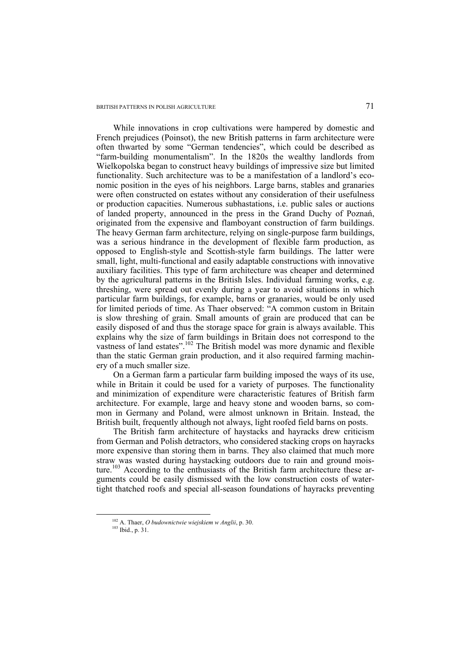While innovations in crop cultivations were hampered by domestic and French prejudices (Poinsot), the new British patterns in farm architecture were often thwarted by some "German tendencies", which could be described as "farm-building monumentalism". In the 1820s the wealthy landlords from Wielkopolska began to construct heavy buildings of impressive size but limited functionality. Such architecture was to be a manifestation of a landlord's economic position in the eyes of his neighbors. Large barns, stables and granaries were often constructed on estates without any consideration of their usefulness or production capacities. Numerous subhastations, i.e. public sales or auctions of landed property, announced in the press in the Grand Duchy of Poznań, originated from the expensive and flamboyant construction of farm buildings. The heavy German farm architecture, relying on single-purpose farm buildings, was a serious hindrance in the development of flexible farm production, as opposed to English-style and Scottish-style farm buildings. The latter were small, light, multi-functional and easily adaptable constructions with innovative auxiliary facilities. This type of farm architecture was cheaper and determined by the agricultural patterns in the British Isles. Individual farming works, e.g. threshing, were spread out evenly during a year to avoid situations in which particular farm buildings, for example, barns or granaries, would be only used for limited periods of time. As Thaer observed: "A common custom in Britain is slow threshing of grain. Small amounts of grain are produced that can be easily disposed of and thus the storage space for grain is always available. This explains why the size of farm buildings in Britain does not correspond to the vastness of land estates".<sup>102</sup> The British model was more dynamic and flexible than the static German grain production, and it also required farming machinery of a much smaller size.

On a German farm a particular farm building imposed the ways of its use, while in Britain it could be used for a variety of purposes. The functionality and minimization of expenditure were characteristic features of British farm architecture. For example, large and heavy stone and wooden barns, so common in Germany and Poland, were almost unknown in Britain. Instead, the British built, frequently although not always, light roofed field barns on posts.

The British farm architecture of haystacks and hayracks drew criticism from German and Polish detractors, who considered stacking crops on hayracks more expensive than storing them in barns. They also claimed that much more straw was wasted during haystacking outdoors due to rain and ground moisture.<sup>103</sup> According to the enthusiasts of the British farm architecture these arguments could be easily dismissed with the low construction costs of watertight thatched roofs and special all-season foundations of hayracks preventing

 <sup>102</sup> A. Thaer, *O budownictwie wiejskiem w Anglii*, p. 30. 103 Ibid., p. 31.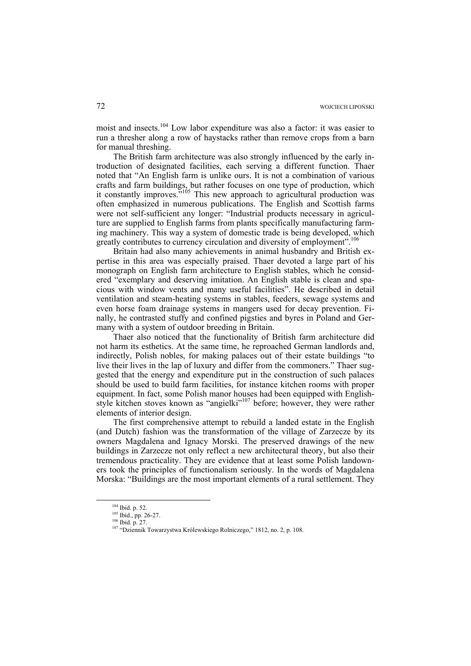moist and insects.104 Low labor expenditure was also a factor: it was easier to run a thresher along a row of haystacks rather than remove crops from a barn for manual threshing.

The British farm architecture was also strongly influenced by the early introduction of designated facilities, each serving a different function. Thaer noted that "An English farm is unlike ours. It is not a combination of various crafts and farm buildings, but rather focuses on one type of production, which it constantly improves."<sup>105</sup> This new approach to agricultural production was often emphasized in numerous publications. The English and Scottish farms were not self-sufficient any longer: "Industrial products necessary in agriculture are supplied to English farms from plants specifically manufacturing farming machinery. This way a system of domestic trade is being developed, which greatly contributes to currency circulation and diversity of employment".<sup>10</sup>

Britain had also many achievements in animal husbandry and British expertise in this area was especially praised. Thaer devoted a large part of his monograph on English farm architecture to English stables, which he considered "exemplary and deserving imitation. An English stable is clean and spacious with window vents and many useful facilities". He described in detail ventilation and steam-heating systems in stables, feeders, sewage systems and even horse foam drainage systems in mangers used for decay prevention. Finally, he contrasted stuffy and confined pigsties and byres in Poland and Germany with a system of outdoor breeding in Britain.

Thaer also noticed that the functionality of British farm architecture did not harm its esthetics. At the same time, he reproached German landlords and, indirectly, Polish nobles, for making palaces out of their estate buildings "to live their lives in the lap of luxury and differ from the commoners." Thaer suggested that the energy and expenditure put in the construction of such palaces should be used to build farm facilities, for instance kitchen rooms with proper equipment. In fact, some Polish manor houses had been equipped with Englishstyle kitchen stoves known as "angielki"107 before; however, they were rather elements of interior design.

The first comprehensive attempt to rebuild a landed estate in the English (and Dutch) fashion was the transformation of the village of Zarzecze by its owners Magdalena and Ignacy Morski. The preserved drawings of the new buildings in Zarzecze not only reflect a new architectural theory, but also their tremendous practicality. They are evidence that at least some Polish landowners took the principles of functionalism seriously. In the words of Magdalena Morska: "Buildings are the most important elements of a rural settlement. They

<sup>&</sup>lt;sup>104</sup> Ibid. p. 52.<br><sup>105</sup> Ibid., pp. 26-27.<br><sup>106</sup> Ibid. p. 27.<br><sup>107</sup> "Dziennik Towarzystwa Królewskiego Rolniczego," 1812, no. 2, p. 108.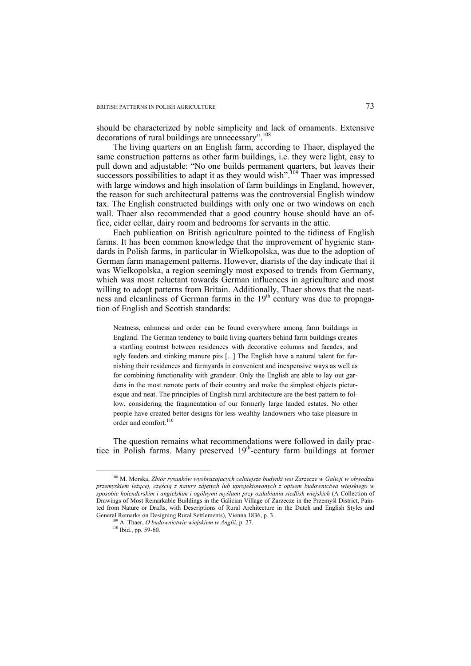should be characterized by noble simplicity and lack of ornaments. Extensive decorations of rural buildings are unnecessary".<sup>108</sup>

The living quarters on an English farm, according to Thaer, displayed the same construction patterns as other farm buildings, i.e. they were light, easy to pull down and adjustable: "No one builds permanent quarters, but leaves their successors possibilities to adapt it as they would wish".<sup>109</sup> Thaer was impressed with large windows and high insolation of farm buildings in England, however, the reason for such architectural patterns was the controversial English window tax. The English constructed buildings with only one or two windows on each wall. Thaer also recommended that a good country house should have an office, cider cellar, dairy room and bedrooms for servants in the attic.

Each publication on British agriculture pointed to the tidiness of English farms. It has been common knowledge that the improvement of hygienic standards in Polish farms, in particular in Wielkopolska, was due to the adoption of German farm management patterns. However, diarists of the day indicate that it was Wielkopolska, a region seemingly most exposed to trends from Germany, which was most reluctant towards German influences in agriculture and most willing to adopt patterns from Britain. Additionally, Thaer shows that the neatness and cleanliness of German farms in the  $19<sup>th</sup>$  century was due to propagation of English and Scottish standards:

Neatness, calmness and order can be found everywhere among farm buildings in England. The German tendency to build living quarters behind farm buildings creates a startling contrast between residences with decorative columns and facades, and ugly feeders and stinking manure pits [...] The English have a natural talent for furnishing their residences and farmyards in convenient and inexpensive ways as well as for combining functionality with grandeur. Only the English are able to lay out gardens in the most remote parts of their country and make the simplest objects picturesque and neat. The principles of English rural architecture are the best pattern to follow, considering the fragmentation of our formerly large landed estates. No other people have created better designs for less wealthy landowners who take pleasure in order and comfort.<sup>110</sup>

The question remains what recommendations were followed in daily practice in Polish farms. Many preserved  $19<sup>th</sup>$ -century farm buildings at former

 <sup>108</sup> M. Morska, *Zbiór rysunków wyobrażajacych celniejsze budynki wsi Zarzecze w Galicji w obwodzie przemyskiem leżącej, częścią z natury zdjętych lub uprojektowanych z opisem budownictwa wiejskiego w sposobie holenderskim i angielskim i ogólnymi myślami przy ozdabianiu siedlisk wiejskich* (A Collection of Drawings of Most Remarkable Buildings in the Galician Village of Zarzecze in the Przemyśl District, Painted from Nature or Drafts, with Descriptions of Rural Architecture in the Dutch and English Styles and General Remarks on Designing Rural Settlements), Vienna 1836, p. 3.

<sup>&</sup>lt;sup>109</sup> A. Thaer, *O budownictwie wiejskiem w Anglii*, p. 27. <sup>110</sup> Ibid., pp. 59-60.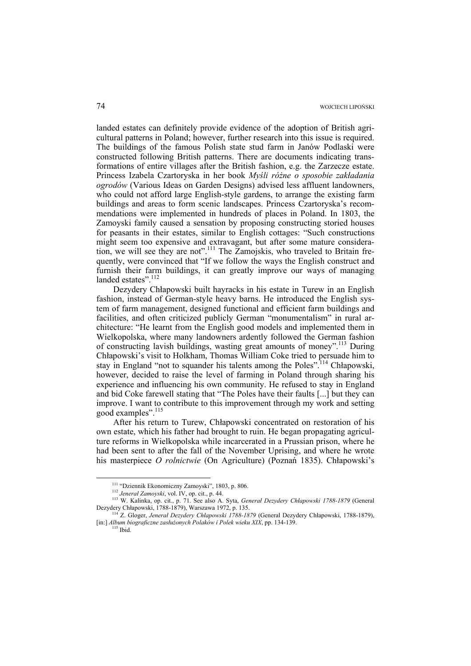landed estates can definitely provide evidence of the adoption of British agricultural patterns in Poland; however, further research into this issue is required. The buildings of the famous Polish state stud farm in Janów Podlaski were constructed following British patterns. There are documents indicating transformations of entire villages after the British fashion, e.g. the Zarzecze estate. Princess Izabela Czartoryska in her book *Myśli różne o sposobie zakładania ogrodów* (Various Ideas on Garden Designs) advised less affluent landowners, who could not afford large English-style gardens, to arrange the existing farm buildings and areas to form scenic landscapes. Princess Czartoryska's recommendations were implemented in hundreds of places in Poland. In 1803, the Zamoyski family caused a sensation by proposing constructing storied houses for peasants in their estates, similar to English cottages: "Such constructions might seem too expensive and extravagant, but after some mature consideration, we will see they are not".<sup>111</sup> The Zamojskis, who traveled to Britain frequently, were convinced that "If we follow the ways the English construct and furnish their farm buildings, it can greatly improve our ways of managing landed estates".<sup>112</sup>

Dezydery Chłapowski built hayracks in his estate in Turew in an English fashion, instead of German-style heavy barns. He introduced the English system of farm management, designed functional and efficient farm buildings and facilities, and often criticized publicly German "monumentalism" in rural architecture: "He learnt from the English good models and implemented them in Wielkopolska, where many landowners ardently followed the German fashion of constructing lavish buildings, wasting great amounts of money".113 During Chłapowski's visit to Holkham, Thomas William Coke tried to persuade him to stay in England "not to squander his talents among the Poles".<sup>114</sup> Chłapowski, however, decided to raise the level of farming in Poland through sharing his experience and influencing his own community. He refused to stay in England and bid Coke farewell stating that "The Poles have their faults [...] but they can improve. I want to contribute to this improvement through my work and setting good examples".<sup>115</sup>

After his return to Turew, Chłapowski concentrated on restoration of his own estate, which his father had brought to ruin. He began propagating agriculture reforms in Wielkopolska while incarcerated in a Prussian prison, where he had been sent to after the fall of the November Uprising, and where he wrote his masterpiece *O rolnictwie* (On Agriculture) (Poznań 1835). Chłapowski's

<sup>&</sup>lt;sup>111</sup> "Dziennik Ekonomiczny Zamoyski", 1803, p. 806.<br><sup>112</sup> Jeneral Zamoyski, vol. IV, op. cit., p. 44.<br><sup>113</sup> W. Kalinka, op. cit., p. 71. See also A. Syta, *General Dezydery Chlapowski 1788-1879* (General Dezydery Chłapowski, 1788-1879), Warszawa 1972, p. 135. 114 Z. Gloger, *Jenerał Dezydery Chłapowski 1788-1879* (General Dezydery Chłapowski, 1788-1879),

<sup>[</sup>in:] *Album biograficzne zasłużonych Polaków i Polek wieku XIX*, pp. 134-139. 115 Ibid.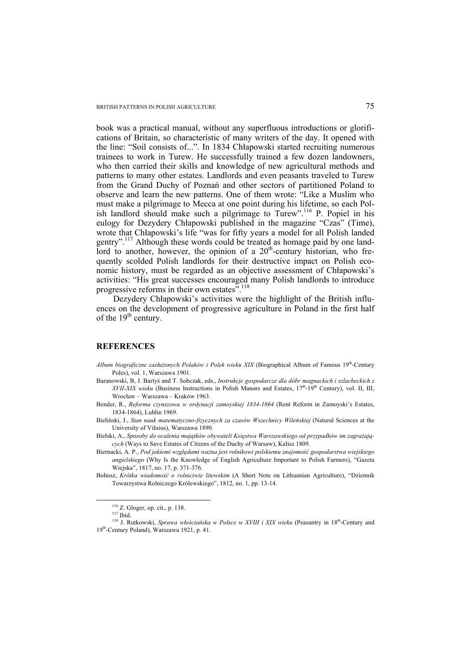book was a practical manual, without any superfluous introductions or glorifications of Britain, so characteristic of many writers of the day. It opened with the line: "Soil consists of...". In 1834 Chłapowski started recruiting numerous trainees to work in Turew. He successfully trained a few dozen landowners, who then carried their skills and knowledge of new agricultural methods and patterns to many other estates. Landlords and even peasants traveled to Turew from the Grand Duchy of Poznań and other sectors of partitioned Poland to observe and learn the new patterns. One of them wrote: "Like a Muslim who must make a pilgrimage to Mecca at one point during his lifetime, so each Polish landlord should make such a pilgrimage to Turew".<sup>116</sup> P. Popiel in his eulogy for Dezydery Chłapowski published in the magazine "Czas" (Time), wrote that Chłapowski's life "was for fifty years a model for all Polish landed gentry".117 Although these words could be treated as homage paid by one landlord to another, however, the opinion of a  $20<sup>th</sup>$ -century historian, who frequently scolded Polish landlords for their destructive impact on Polish economic history, must be regarded as an objective assessment of Chłapowski's activities: "His great successes encouraged many Polish landlords to introduce progressive reforms in their own estates".<sup>118</sup>

Dezydery Chłapowski's activities were the highlight of the British influences on the development of progressive agriculture in Poland in the first half of the  $19<sup>th</sup>$  century.

## **REFERENCES**

- *Album biograficzne zasłużonych Polaków i Polek wieku XIX* (Biographical Album of Famous 19th-Century Poles), vol. 1, Warszawa 1901.
- Baranowski, B, J. Bartyś and T. Sobczak, eds., *Instrukcje gospodarcze dla dóbr magnackich i szlacheckich z*   $XVII-XIX$  *wieku* (Business Instructions in Polish Manors and Estates,  $17<sup>th</sup>$ -19<sup>th</sup> Century), vol. II, III, Wrocław – Warszawa – Kraków 1963.
- Bender, R., *Reforma czynszowa w ordynacji zamoyskiej 1834-1864* (Rent Reform in Zamoyski's Estates, 1834-1864), Lublin 1969.
- Bieliński, J., *Stan nauk matematyczno-fizycznych za czasów Wszechnicy Wileńskiej* (Natural Sciences at the University of Vilnius), Warszawa 1890.
- Bielski, A., *Sposoby do ocalenia majątków obywateli Księstwa Warszawskiego od przypadków im zagrażających* (Ways to Save Estates of Citzens of the Duchy of Warsaw), Kalisz 1809.
- Biernacki, A. P., *Pod jakiemi względami ważna jest rolnikowi polskiemu znajomość gospodarstwa wiejskiego angielskiego* (Why Is the Knowledge of English Agriculture Important to Polish Farmers), "Gazeta Wiejska", 1817, no. 17, p. 371-376.
- Bohusz, *Krótka wiadomość o rolnictwie litewskim* (A Short Note on Lithuanian Agriculture), "Dziennik Towarzystwa Rolniczego Królewskiego", 1812, no. 1, pp. 13-14.

<sup>&</sup>lt;sup>116</sup> Z. Gloger, op. cit., p. 138.<br><sup>117</sup> Ibid. 118 J. Rutkowski, *Sprawa włościańska w Polsce w XVIII i XIX wieku* (Peasantry in 18<sup>th</sup>-Century and 19th-Century Poland), Warszawa 1921, p. 41.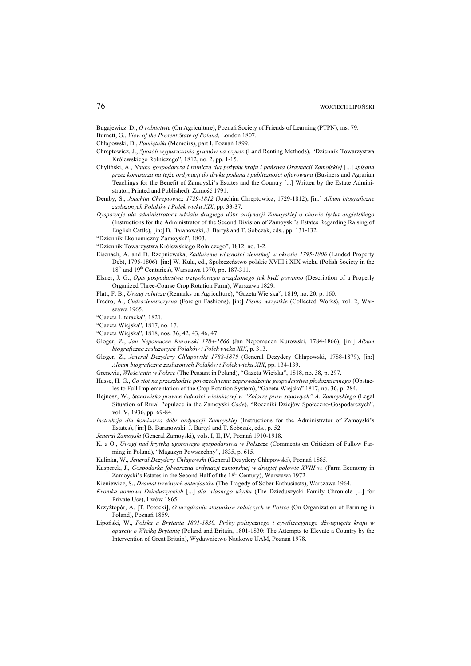Bugajewicz, D., *O rolnictwie* (On Agriculture), Poznań Society of Friends of Learning (PTPN), ms. 79.

- Burnett, G., *View of the Present State of Poland*, London 1807.
- Chłapowski, D., *Pamiętniki* (Memoirs), part I, Poznań 1899.
- Chreptowicz, J., *Sposób wypuszczania gruntów na czynsz* (Land Renting Methods), "Dziennik Towarzystwa Królewskiego Rolniczego", 1812, no. 2, pp. 1-15.
- Chyliński, A., *Nauka gospodarcza i rolnicza dla pożytku kraju i państwa Ordynacji Zamojskiej* [...] *spisana przez komisarza na tejże ordynacji do druku podana i publiczności ofiarowana* (Business and Agrarian Teachings for the Benefit of Zamoyski's Estates and the Country [...] Written by the Estate Administrator, Printed and Published), Zamość 1791.
- Demby, S., *Joachim Chreptowicz 1729-1812* (Joachim Chreptowicz, 1729-1812), [in:] *Album biograficzne zasłużonych Polaków i Polek wieku XIX*, pp. 33-37.
- *Dyspozycje dla administratora udziału drugiego dóbr ordynacji Zamoyskiej o chowie bydła angielskiego* (Instructions for the Administrator of the Second Division of Zamoyski's Estates Regarding Raising of English Cattle), [in:] B. Baranowski, J. Bartyś and T. Sobczak, eds., pp. 131-132.
- "Dziennik Ekonomiczny Zamoyski", 1803.
- "Dziennik Towarzystwa Królewskiego Rolniczego", 1812, no. 1-2.
- Eisenach, A. and D. Rzepniewska, *Zadłużenie własności ziemskiej w okresie 1795-1806* (Landed Property Debt, 1795-1806), [in:] W. Kula, ed., Społeczeństwo polskie XVIII i XIX wieku (Polish Society in the 18<sup>th</sup> and 19<sup>th</sup> Centuries), Warszawa 1970, pp. 187-311.
- Elsner, J. G., *Opis gospodarstwa trzypolowego urządzonego jak bydź powinno* (Description of a Properly Organized Three-Course Crop Rotation Farm), Warszawa 1829.
- Flatt, F. B., *Uwagi rolnicze* (Remarks on Agriculture), "Gazeta Wiejska", 1819, no. 20, p. 160.
- Fredro, A., *Cudzoziemszczyzna* (Foreign Fashions), [in:] *Pisma wszystkie* (Collected Works), vol. 2, Warszawa 1965.
- "Gazeta Literacka", 1821.
- "Gazeta Wiejska", 1817, no. 17.
- "Gazeta Wiejska", 1818, nos. 36, 42, 43, 46, 47.
- Gloger, Z., *Jan Nepomucen Kurowski 1784-1866* (Jan Nepomucen Kurowski, 1784-1866), [in:] *Album biograficzne zasłużonych Polaków i Polek wieku XIX*, p. 313.
- Gloger, Z., *Jenerał Dezydery Chłapowski 1788-1879* (General Dezydery Chłapowski, 1788-1879), [in:] *Album biograficzne zasłużonych Polaków i Polek wieku XIX*, pp. 134-139.
- Greneviz, *Włościanin w Polsce* (The Peasant in Poland), "Gazeta Wiejska", 1818, no. 38, p. 297.
- Hasse, H. G., *Co stoi na przeszkodzie powszechnemu zaprowadzeniu gospodarstwa płodozmiennego* (Obstacles to Full Implementation of the Crop Rotation System), "Gazeta Wiejska" 1817, no. 36, p. 284.
- Hejnosz, W., *Stanowisko prawne ludności wieśniaczej w "Zbiorze praw sądowych" A. Zamoyskiego* (Legal Situation of Rural Populace in the Zamoyski *Code*), "Roczniki Dziejów Społeczno-Gospodarczych", vol. V, 1936, pp. 69-84.
- *Instrukcja dla komisarza dóbr ordynacji Zamoyskiej* (Instructions for the Administrator of Zamoyski's Estates), [in:] B. Baranowski, J. Bartyś and T. Sobczak, eds., p. 52.
- *Jenerał Zamoyski* (General Zamoyski), vols. I, II, IV, Poznań 1910-1918.
- K. z O., *Uwagi nad krytyką ugorowego gospodarstwa w Polszcze* (Comments on Criticism of Fallow Farming in Poland), "Magazyn Powszechny", 1835, p. 615.
- Kalinka, W., *Jenerał Dezydery Chłapowski* (General Dezydery Chłapowski), Poznań 1885.
- Kasperek, J., *Gospodarka folwarczna ordynacji zamoyskiej w drugiej połowie XVIII w.* (Farm Economy in Zamoyski's Estates in the Second Half of the 18<sup>th</sup> Century), Warszawa 1972.
- Kieniewicz, S., *Dramat trzeźwych entuzjastów* (The Tragedy of Sober Enthusiasts), Warszawa 1964.
- *Kronika domowa Dzieduszyckich* [...] *dla własnego użytku* (The Dzieduszycki Family Chronicle [...] for Private Use), Lwów 1865.
- Krzyżtopór, A. [T. Potocki], *O urządzaniu stosunków rolniczych w Polsce* (On Organization of Farming in Poland), Poznań 1859.
- Lipoński, W., *Polska a Brytania 1801-1830. Próby politycznego i cywilizacyjnego dźwignięcia kraju w oparciu o Wielką Brytanię* (Poland and Britain, 1801-1830: The Attempts to Elevate a Country by the Intervention of Great Britain), Wydawnictwo Naukowe UAM, Poznań 1978.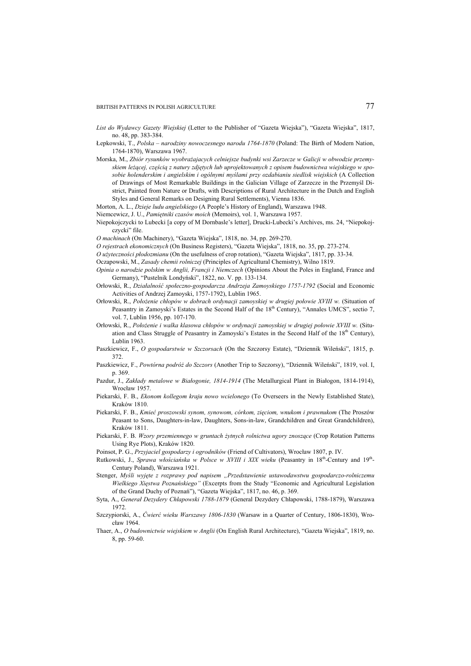- *List do Wydawcy Gazety Wiejskiej* (Letter to the Publisher of "Gazeta Wiejska"), "Gazeta Wiejska", 1817, no. 48, pp. 383-384.
- Łepkowski, T., *Polska narodziny nowoczesnego narodu 1764-1870* (Poland: The Birth of Modern Nation, 1764-1870), Warszawa 1967.
- Morska, M., *Zbiór rysunków wyobrażajacych celniejsze budynki wsi Zarzecze w Galicji w obwodzie przemyskiem leżącej, częścią z natury zdjętych lub uprojektowanych z opisem budownictwa wiejskiego w sposobie holenderskim i angielskim i ogólnymi myślami przy ozdabianiu siedlisk wiejskich* (A Collection of Drawings of Most Remarkable Buildings in the Galician Village of Zarzecze in the Przemyśl District, Painted from Nature or Drafts, with Descriptions of Rural Architecture in the Dutch and English Styles and General Remarks on Designing Rural Settlements), Vienna 1836.
- Morton, A. L., *Dzieje ludu angielskiego* (A People's History of England), Warszawa 1948.
- Niemcewicz, J. U., *Pamiętniki czasów moich* (Memoirs), vol. 1, Warszawa 1957.
- Niepokojczycki to Lubecki [a copy of M Dornbasle's letter], Drucki-Lubecki's Archives, ms. 24, "Niepokojczycki" file.
- *O machinach* (On Machinery), "Gazeta Wiejska", 1818, no. 34, pp. 269-270.
- *O rejestrach ekonomicznych* (On Business Registers), "Gazeta Wiejska", 1818, no. 35, pp. 273-274.
- *O użyteczności płodozmianu* (On the usefulness of crop rotation), "Gazeta Wiejska", 1817, pp. 33-34.
- Oczapowski, M., *Zasady chemii rolniczej* (Principles of Agricultural Chemistry), Wilno 1819.
- *Opinia o narodzie polskim w Anglii, Francji i Niemczech* (Opinions About the Poles in England, France and Germany), "Pustelnik Londyński", 1822, no. V. pp. 133-134.
- Orłowski, R., *Działalność społeczno-gospodarcza Andrzeja Zamoyskiego 1757-1792* (Social and Economic Activities of Andrzej Zamoyski, 1757-1792), Lublin 1965.
- Orłowski, R., *Położenie chłopów w dobrach ordynacji zamoyskiej w drugiej połowie XVIII w.* (Situation of Peasantry in Zamoyski's Estates in the Second Half of the 18<sup>th</sup> Century), "Annales UMCS", sectio 7, vol. 7, Lublin 1956, pp. 107-170.
- Orłowski, R., *Położenie i walka klasowa chłopów w ordynacji zamoyskiej w drugiej połowie XVIII w.* (Situation and Class Struggle of Peasantry in Zamoyski's Estates in the Second Half of the 18th Century), Lublin 1963.
- Paszkiewicz, F., *O gospodarstwie w Szczorsach* (On the Szczorsy Estate), "Dziennik Wileński", 1815, p. 372.
- Paszkiewicz, F., *Powtórna podróż do Szczors* (Another Trip to Szczorsy), "Dziennik Wileński", 1819, vol. I, p. 369.
- Pazdur, J., *Zakłady metalowe w Białogonie, 1814-1914* (The Metallurgical Plant in Białogon, 1814-1914), Wrocław 1957.
- Piekarski, F. B., *Ekonom kollegom kraju nowo wcielonego* (To Overseers in the Newly Established State), Kraków 1810.
- Piekarski, F. B., *Kmieć proszowski synom, synowom, córkom, zięciom, wnukom i prawnukom* (The Proszów Peasant to Sons, Daughters-in-law, Daughters, Sons-in-law, Grandchildren and Great Grandchildren), Kraków 1811.
- Piekarski, F. B. *Wzory przemiennego w gruntach żytnych rolnictwa ugory znoszące* (Crop Rotation Patterns Using Rye Plots), Kraków 1820.
- Poinsot, P. G., *Przyjaciel gospodarzy i ogrodników* (Friend of Cultivators), Wrocław 1807, p. IV.
- Rutkowski, J., *Sprawa włościańska w Polsce w XVIII i XIX wieku* (Peasantry in 18th-Century and 19th-Century Poland), Warszawa 1921.
- Stenger, *Myśli wyjęte z rozprawy pod napisem "Przedstawienie ustawodawstwu gospodarczo-rolniczemu Wielkiego Xięstwa Poznańskiego"* (Excerpts from the Study "Economic and Agricultural Legislation of the Grand Duchy of Poznań"), "Gazeta Wiejska", 1817, no. 46, p. 369.
- Syta, A., *Generał Dezydery Chłapowski 1788-1879* (General Dezydery Chłapowski, 1788-1879), Warszawa 1972.
- Szczypiorski, A., *Ćwierć wieku Warszawy 1806-1830* (Warsaw in a Quarter of Century, 1806-1830), Wrocław 1964.
- Thaer, A., *O budownictwie wiejskiem w Anglii* (On English Rural Architecture), "Gazeta Wiejska", 1819, no. 8, pp. 59-60.